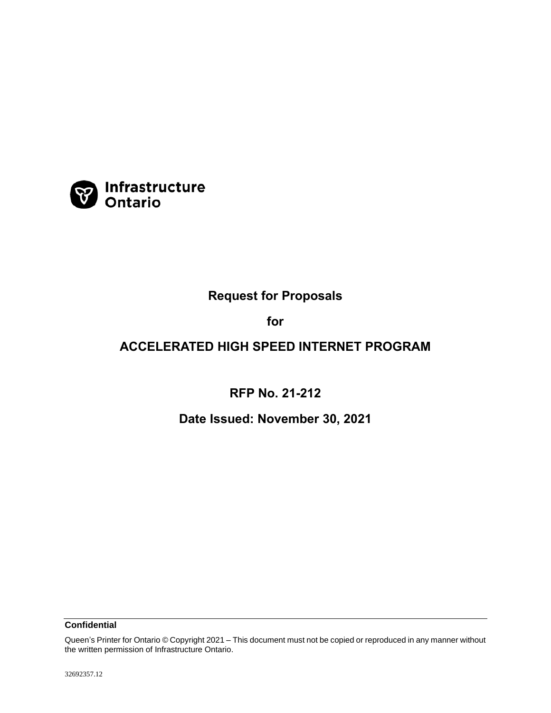

# **Request for Proposals**

# **for**

# **ACCELERATED HIGH SPEED INTERNET PROGRAM**

**RFP No. 21-212**

**Date Issued: November 30, 2021**

**Confidential**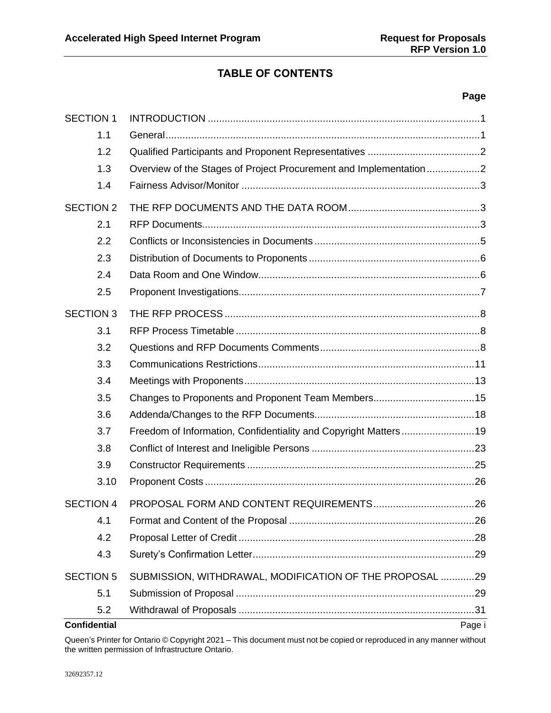# **TABLE OF CONTENTS**

### **Page**

| <b>SECTION 1</b>    |                                                                 |  |
|---------------------|-----------------------------------------------------------------|--|
| 1.1                 |                                                                 |  |
| 1.2                 |                                                                 |  |
| 1.3                 |                                                                 |  |
| 1.4                 |                                                                 |  |
| <b>SECTION 2</b>    |                                                                 |  |
| 2.1                 |                                                                 |  |
| 2.2                 |                                                                 |  |
| 2.3                 |                                                                 |  |
| 2.4                 |                                                                 |  |
| 2.5                 |                                                                 |  |
| <b>SECTION 3</b>    |                                                                 |  |
| 3.1                 |                                                                 |  |
| 3.2                 |                                                                 |  |
| 3.3                 |                                                                 |  |
| 3.4                 |                                                                 |  |
| 3.5                 | Changes to Proponents and Proponent Team Members15              |  |
| 3.6                 |                                                                 |  |
| 3.7                 | Freedom of Information, Confidentiality and Copyright Matters19 |  |
| 3.8                 |                                                                 |  |
| 3.9                 |                                                                 |  |
| 3.10                |                                                                 |  |
| <b>SECTION 4</b>    |                                                                 |  |
| 4.1                 |                                                                 |  |
| 4.2                 |                                                                 |  |
| 4.3                 |                                                                 |  |
| <b>SECTION 5</b>    | SUBMISSION, WITHDRAWAL, MODIFICATION OF THE PROPOSAL 29         |  |
| 5.1                 |                                                                 |  |
| 5.2                 |                                                                 |  |
| <b>Confidential</b> | Page i                                                          |  |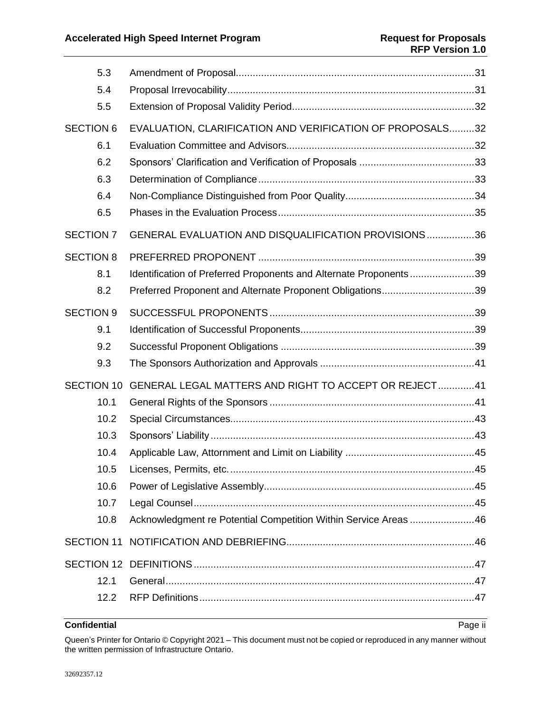|                   | 5.3  |                                                                   |  |
|-------------------|------|-------------------------------------------------------------------|--|
|                   | 5.4  |                                                                   |  |
|                   | 5.5  |                                                                   |  |
| <b>SECTION 6</b>  |      | EVALUATION, CLARIFICATION AND VERIFICATION OF PROPOSALS32         |  |
|                   | 6.1  |                                                                   |  |
|                   | 6.2  |                                                                   |  |
|                   | 6.3  |                                                                   |  |
|                   | 6.4  |                                                                   |  |
|                   | 6.5  |                                                                   |  |
| <b>SECTION 7</b>  |      | GENERAL EVALUATION AND DISQUALIFICATION PROVISIONS36              |  |
| <b>SECTION 8</b>  |      |                                                                   |  |
|                   | 8.1  | Identification of Preferred Proponents and Alternate Proponents39 |  |
|                   | 8.2  | Preferred Proponent and Alternate Proponent Obligations39         |  |
| <b>SECTION 9</b>  |      |                                                                   |  |
|                   | 9.1  |                                                                   |  |
|                   | 9.2  |                                                                   |  |
|                   | 9.3  |                                                                   |  |
| <b>SECTION 10</b> |      | <b>GENERAL LEGAL MATTERS AND RIGHT TO ACCEPT OR REJECT41</b>      |  |
|                   | 10.1 |                                                                   |  |
|                   | 10.2 |                                                                   |  |
|                   | 10.3 |                                                                   |  |
|                   | 10.4 |                                                                   |  |
|                   | 10.5 |                                                                   |  |
|                   | 10.6 |                                                                   |  |
|                   | 10.7 |                                                                   |  |
|                   | 10.8 | Acknowledgment re Potential Competition Within Service Areas46    |  |
| <b>SECTION 11</b> |      |                                                                   |  |
|                   |      |                                                                   |  |
|                   | 12.1 |                                                                   |  |
|                   | 12.2 |                                                                   |  |

# **Confidential** Page ii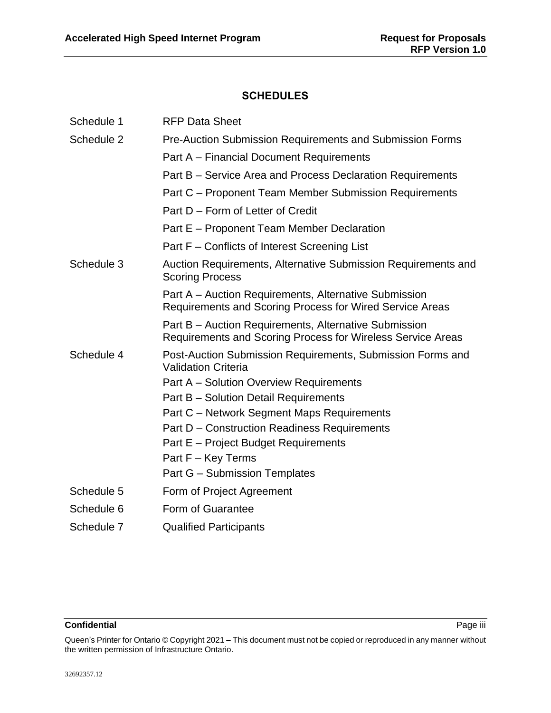# **SCHEDULES**

| Schedule 1 | <b>RFP Data Sheet</b>                                                                                                |
|------------|----------------------------------------------------------------------------------------------------------------------|
| Schedule 2 | <b>Pre-Auction Submission Requirements and Submission Forms</b>                                                      |
|            | Part A – Financial Document Requirements                                                                             |
|            | Part B - Service Area and Process Declaration Requirements                                                           |
|            | Part C – Proponent Team Member Submission Requirements                                                               |
|            | Part D – Form of Letter of Credit                                                                                    |
|            | Part E – Proponent Team Member Declaration                                                                           |
|            | Part F – Conflicts of Interest Screening List                                                                        |
| Schedule 3 | Auction Requirements, Alternative Submission Requirements and<br><b>Scoring Process</b>                              |
|            | Part A – Auction Requirements, Alternative Submission<br>Requirements and Scoring Process for Wired Service Areas    |
|            | Part B - Auction Requirements, Alternative Submission<br>Requirements and Scoring Process for Wireless Service Areas |
| Schedule 4 | Post-Auction Submission Requirements, Submission Forms and<br><b>Validation Criteria</b>                             |
|            | Part A - Solution Overview Requirements                                                                              |
|            | Part B - Solution Detail Requirements                                                                                |
|            | Part C - Network Segment Maps Requirements                                                                           |
|            | Part D - Construction Readiness Requirements                                                                         |
|            | Part E – Project Budget Requirements                                                                                 |
|            | Part F - Key Terms                                                                                                   |
|            | Part G - Submission Templates                                                                                        |
| Schedule 5 | Form of Project Agreement                                                                                            |
| Schedule 6 | Form of Guarantee                                                                                                    |
| Schedule 7 | <b>Qualified Participants</b>                                                                                        |

### **Confidential** Page iii

Queen's Printer for Ontario © Copyright 2021 – This document must not be copied or reproduced in any manner without the written permission of Infrastructure Ontario.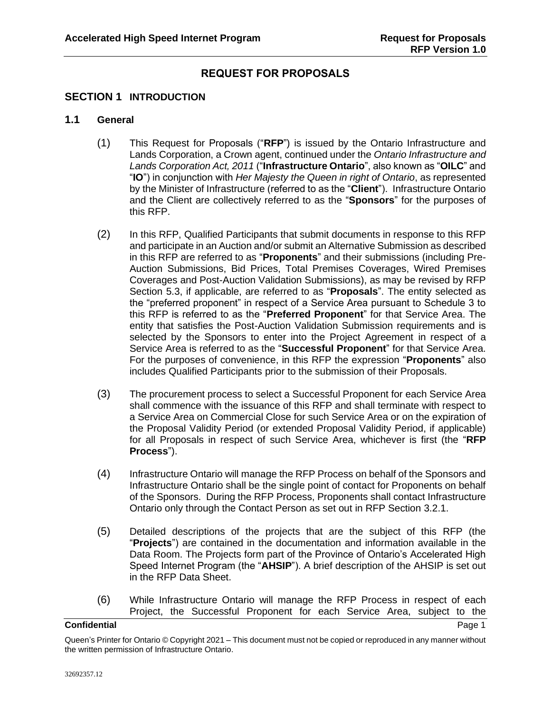# **REQUEST FOR PROPOSALS**

# <span id="page-4-0"></span>**SECTION 1 INTRODUCTION**

# <span id="page-4-2"></span><span id="page-4-1"></span>**1.1 General**

- (1) This Request for Proposals ("**RFP**") is issued by the Ontario Infrastructure and Lands Corporation, a Crown agent, continued under the *Ontario Infrastructure and Lands Corporation Act, 2011* ("**Infrastructure Ontario**", also known as "**OILC**" and "**IO**") in conjunction with *Her Majesty the Queen in right of Ontario*, as represented by the Minister of Infrastructure (referred to as the "**Client**"). Infrastructure Ontario and the Client are collectively referred to as the "**Sponsors**" for the purposes of this RFP.
- <span id="page-4-3"></span>(2) In this RFP, Qualified Participants that submit documents in response to this RFP and participate in an Auction and/or submit an Alternative Submission as described in this RFP are referred to as "**Proponents**" and their submissions (including Pre-Auction Submissions, Bid Prices, Total Premises Coverages, Wired Premises Coverages and Post-Auction Validation Submissions), as may be revised by RFP Section [5.3,](#page-34-1) if applicable, are referred to as "**Proposals**". The entity selected as the "preferred proponent" in respect of a Service Area pursuant to Schedule 3 to this RFP is referred to as the "**Preferred Proponent**" for that Service Area. The entity that satisfies the Post-Auction Validation Submission requirements and is selected by the Sponsors to enter into the Project Agreement in respect of a Service Area is referred to as the "**Successful Proponent**" for that Service Area. For the purposes of convenience, in this RFP the expression "**Proponents**" also includes Qualified Participants prior to the submission of their Proposals.
- <span id="page-4-5"></span>(3) The procurement process to select a Successful Proponent for each Service Area shall commence with the issuance of this RFP and shall terminate with respect to a Service Area on Commercial Close for such Service Area or on the expiration of the Proposal Validity Period (or extended Proposal Validity Period, if applicable) for all Proposals in respect of such Service Area, whichever is first (the "**RFP Process**").
- (4) Infrastructure Ontario will manage the RFP Process on behalf of the Sponsors and Infrastructure Ontario shall be the single point of contact for Proponents on behalf of the Sponsors. During the RFP Process, Proponents shall contact Infrastructure Ontario only through the Contact Person as set out in RFP Section [3.2.1.](#page-11-3)
- <span id="page-4-4"></span>(5) Detailed descriptions of the projects that are the subject of this RFP (the "**Projects**") are contained in the documentation and information available in the Data Room. The Projects form part of the Province of Ontario's Accelerated High Speed Internet Program (the "**AHSIP**"). A brief description of the AHSIP is set out in the RFP Data Sheet.
- (6) While Infrastructure Ontario will manage the RFP Process in respect of each Project, the Successful Proponent for each Service Area, subject to the

### <span id="page-4-6"></span>**Confidential** Page 1 **Page 1**

Queen's Printer for Ontario © Copyright 2021 – This document must not be copied or reproduced in any manner without the written permission of Infrastructure Ontario.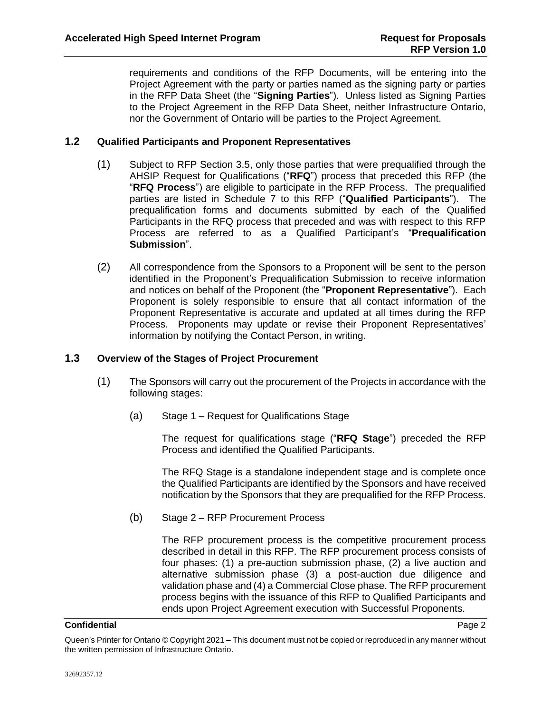requirements and conditions of the RFP Documents, will be entering into the Project Agreement with the party or parties named as the signing party or parties in the RFP Data Sheet (the "**Signing Parties**"). Unless listed as Signing Parties to the Project Agreement in the RFP Data Sheet, neither Infrastructure Ontario, nor the Government of Ontario will be parties to the Project Agreement.

# <span id="page-5-2"></span><span id="page-5-0"></span>**1.2 Qualified Participants and Proponent Representatives**

- (1) Subject to RFP Section [3.5,](#page-18-0) only those parties that were prequalified through the AHSIP Request for Qualifications ("**RFQ**") process that preceded this RFP (the "**RFQ Process**") are eligible to participate in the RFP Process. The prequalified parties are listed in Schedule 7 to this RFP ("**Qualified Participants**"). The prequalification forms and documents submitted by each of the Qualified Participants in the RFQ process that preceded and was with respect to this RFP Process are referred to as a Qualified Participant's "**Prequalification Submission**".
- <span id="page-5-3"></span>(2) All correspondence from the Sponsors to a Proponent will be sent to the person identified in the Proponent's Prequalification Submission to receive information and notices on behalf of the Proponent (the "**Proponent Representative**"). Each Proponent is solely responsible to ensure that all contact information of the Proponent Representative is accurate and updated at all times during the RFP Process. Proponents may update or revise their Proponent Representatives' information by notifying the Contact Person, in writing.

# <span id="page-5-1"></span>**1.3 Overview of the Stages of Project Procurement**

- <span id="page-5-4"></span>(1) The Sponsors will carry out the procurement of the Projects in accordance with the following stages:
	- (a) Stage 1 Request for Qualifications Stage

The request for qualifications stage ("**RFQ Stage**") preceded the RFP Process and identified the Qualified Participants.

The RFQ Stage is a standalone independent stage and is complete once the Qualified Participants are identified by the Sponsors and have received notification by the Sponsors that they are prequalified for the RFP Process.

(b) Stage 2 – RFP Procurement Process

The RFP procurement process is the competitive procurement process described in detail in this RFP. The RFP procurement process consists of four phases: (1) a pre-auction submission phase, (2) a live auction and alternative submission phase (3) a post-auction due diligence and validation phase and (4) a Commercial Close phase. The RFP procurement process begins with the issuance of this RFP to Qualified Participants and ends upon Project Agreement execution with Successful Proponents.

#### **Confidential** Page 2 **Page 2**

Queen's Printer for Ontario © Copyright 2021 – This document must not be copied or reproduced in any manner without the written permission of Infrastructure Ontario.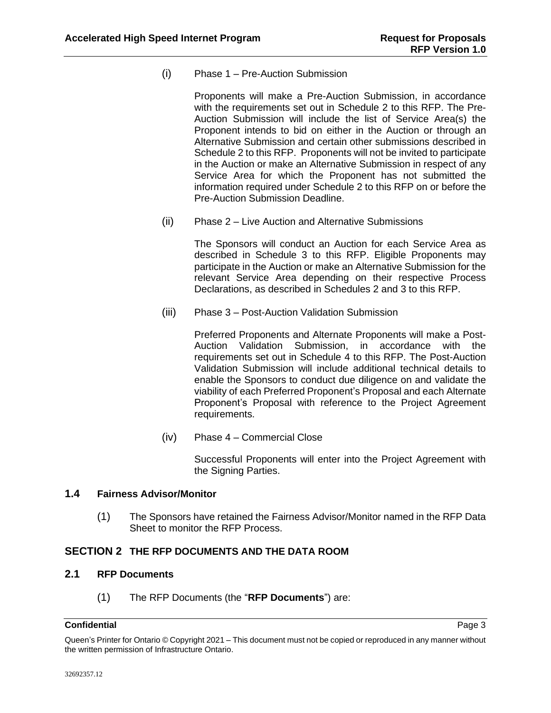(i) Phase 1 – Pre-Auction Submission

Proponents will make a Pre-Auction Submission, in accordance with the requirements set out in Schedule 2 to this RFP. The Pre-Auction Submission will include the list of Service Area(s) the Proponent intends to bid on either in the Auction or through an Alternative Submission and certain other submissions described in Schedule 2 to this RFP. Proponents will not be invited to participate in the Auction or make an Alternative Submission in respect of any Service Area for which the Proponent has not submitted the information required under Schedule 2 to this RFP on or before the Pre-Auction Submission Deadline.

(ii) Phase 2 – Live Auction and Alternative Submissions

The Sponsors will conduct an Auction for each Service Area as described in Schedule 3 to this RFP. Eligible Proponents may participate in the Auction or make an Alternative Submission for the relevant Service Area depending on their respective Process Declarations, as described in Schedules 2 and 3 to this RFP.

(iii) Phase 3 – Post-Auction Validation Submission

Preferred Proponents and Alternate Proponents will make a Post-Auction Validation Submission, in accordance with the requirements set out in Schedule 4 to this RFP. The Post-Auction Validation Submission will include additional technical details to enable the Sponsors to conduct due diligence on and validate the viability of each Preferred Proponent's Proposal and each Alternate Proponent's Proposal with reference to the Project Agreement requirements.

(iv) Phase 4 – Commercial Close

Successful Proponents will enter into the Project Agreement with the Signing Parties.

# <span id="page-6-0"></span>**1.4 Fairness Advisor/Monitor**

(1) The Sponsors have retained the Fairness Advisor/Monitor named in the RFP Data Sheet to monitor the RFP Process.

# <span id="page-6-1"></span>**SECTION 2 THE RFP DOCUMENTS AND THE DATA ROOM**

# <span id="page-6-2"></span>**2.1 RFP Documents**

(1) The RFP Documents (the "**RFP Documents**") are:

# **Confidential** Page 3 **Page 3**

Queen's Printer for Ontario © Copyright 2021 – This document must not be copied or reproduced in any manner without the written permission of Infrastructure Ontario.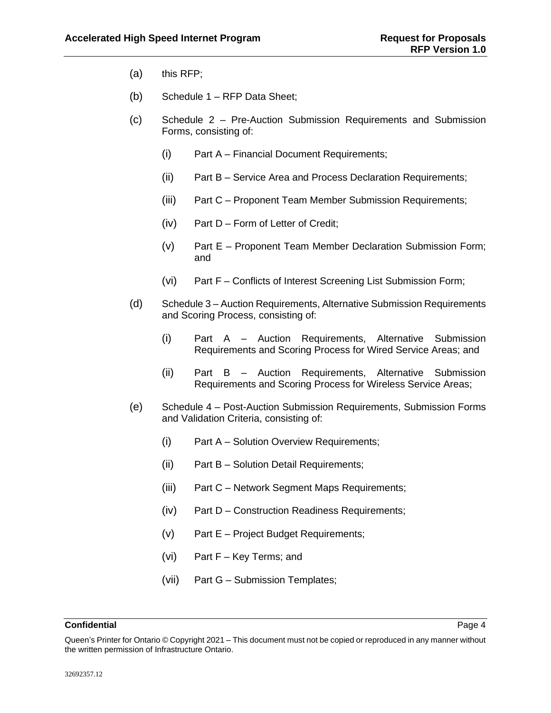- (a) this RFP;
- (b) Schedule 1 RFP Data Sheet;
- (c) Schedule 2 Pre-Auction Submission Requirements and Submission Forms, consisting of:
	- (i) Part A Financial Document Requirements;
	- (ii) Part B Service Area and Process Declaration Requirements;
	- (iii) Part C Proponent Team Member Submission Requirements;
	- (iv) Part D Form of Letter of Credit;
	- (v) Part E Proponent Team Member Declaration Submission Form; and
	- (vi) Part F Conflicts of Interest Screening List Submission Form;
- (d) Schedule 3 Auction Requirements, Alternative Submission Requirements and Scoring Process, consisting of:
	- (i) Part A Auction Requirements, Alternative Submission Requirements and Scoring Process for Wired Service Areas; and
	- (ii) Part B Auction Requirements, Alternative Submission Requirements and Scoring Process for Wireless Service Areas;
- (e) Schedule 4 Post-Auction Submission Requirements, Submission Forms and Validation Criteria, consisting of:
	- (i) Part A Solution Overview Requirements;
	- (ii) Part B Solution Detail Requirements;
	- (iii) Part C Network Segment Maps Requirements;
	- (iv) Part D Construction Readiness Requirements;
	- (v) Part E Project Budget Requirements;
	- (vi) Part F Key Terms; and
	- (vii) Part G Submission Templates;

Queen's Printer for Ontario © Copyright 2021 – This document must not be copied or reproduced in any manner without the written permission of Infrastructure Ontario.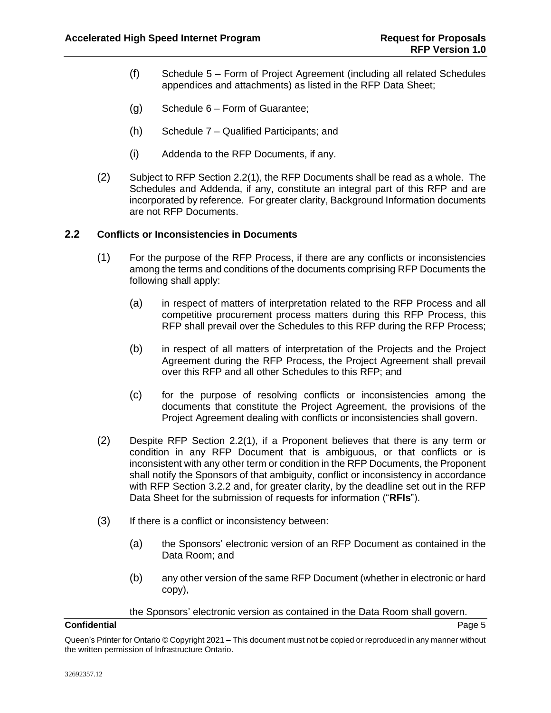- (f) Schedule 5 Form of Project Agreement (including all related Schedules appendices and attachments) as listed in the RFP Data Sheet;
- (g) Schedule 6 Form of Guarantee;
- (h) Schedule 7 Qualified Participants; and
- (i) Addenda to the RFP Documents, if any.
- (2) Subject to RFP Section [2.2\(1\),](#page-8-1) the RFP Documents shall be read as a whole. The Schedules and Addenda, if any, constitute an integral part of this RFP and are incorporated by reference. For greater clarity, Background Information documents are not RFP Documents.

# <span id="page-8-1"></span><span id="page-8-0"></span>**2.2 Conflicts or Inconsistencies in Documents**

- (1) For the purpose of the RFP Process, if there are any conflicts or inconsistencies among the terms and conditions of the documents comprising RFP Documents the following shall apply:
	- (a) in respect of matters of interpretation related to the RFP Process and all competitive procurement process matters during this RFP Process, this RFP shall prevail over the Schedules to this RFP during the RFP Process;
	- (b) in respect of all matters of interpretation of the Projects and the Project Agreement during the RFP Process, the Project Agreement shall prevail over this RFP and all other Schedules to this RFP; and
	- (c) for the purpose of resolving conflicts or inconsistencies among the documents that constitute the Project Agreement, the provisions of the Project Agreement dealing with conflicts or inconsistencies shall govern.
- <span id="page-8-2"></span>(2) Despite RFP Section [2.2\(1\),](#page-8-1) if a Proponent believes that there is any term or condition in any RFP Document that is ambiguous, or that conflicts or is inconsistent with any other term or condition in the RFP Documents, the Proponent shall notify the Sponsors of that ambiguity, conflict or inconsistency in accordance with RFP Section [3.2.2](#page-12-0) and, for greater clarity, by the deadline set out in the RFP Data Sheet for the submission of requests for information ("**RFIs**").
- (3) If there is a conflict or inconsistency between:
	- (a) the Sponsors' electronic version of an RFP Document as contained in the Data Room; and
	- (b) any other version of the same RFP Document (whether in electronic or hard copy),

the Sponsors' electronic version as contained in the Data Room shall govern.

Queen's Printer for Ontario © Copyright 2021 – This document must not be copied or reproduced in any manner without the written permission of Infrastructure Ontario.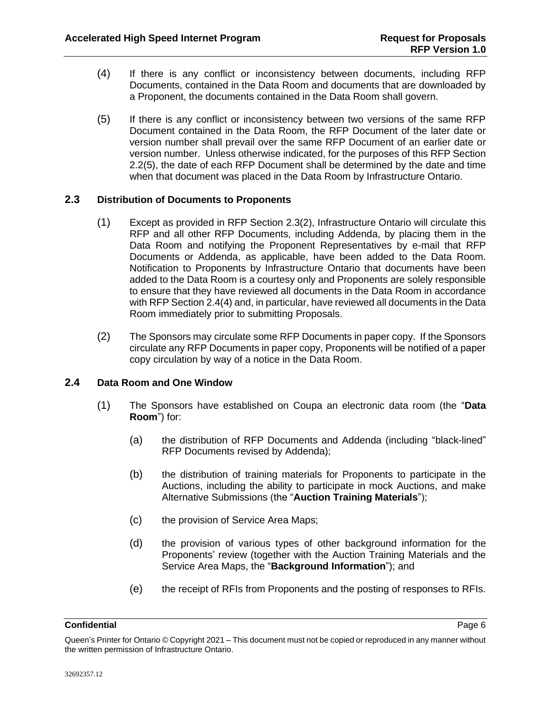- (4) If there is any conflict or inconsistency between documents, including RFP Documents, contained in the Data Room and documents that are downloaded by a Proponent, the documents contained in the Data Room shall govern.
- <span id="page-9-2"></span>(5) If there is any conflict or inconsistency between two versions of the same RFP Document contained in the Data Room, the RFP Document of the later date or version number shall prevail over the same RFP Document of an earlier date or version number. Unless otherwise indicated, for the purposes of this RFP Section [2.2\(5\),](#page-9-2) the date of each RFP Document shall be determined by the date and time when that document was placed in the Data Room by Infrastructure Ontario.

# <span id="page-9-0"></span>**2.3 Distribution of Documents to Proponents**

- (1) Except as provided in RFP Section [2.3\(2\),](#page-9-3) Infrastructure Ontario will circulate this RFP and all other RFP Documents, including Addenda, by placing them in the Data Room and notifying the Proponent Representatives by e-mail that RFP Documents or Addenda, as applicable, have been added to the Data Room. Notification to Proponents by Infrastructure Ontario that documents have been added to the Data Room is a courtesy only and Proponents are solely responsible to ensure that they have reviewed all documents in the Data Room in accordance with RFP Sectio[n 2.4\(4\)](#page-10-1) and, in particular, have reviewed all documents in the Data Room immediately prior to submitting Proposals.
- <span id="page-9-3"></span>(2) The Sponsors may circulate some RFP Documents in paper copy. If the Sponsors circulate any RFP Documents in paper copy, Proponents will be notified of a paper copy circulation by way of a notice in the Data Room.

# <span id="page-9-5"></span><span id="page-9-1"></span>**2.4 Data Room and One Window**

- <span id="page-9-4"></span>(1) The Sponsors have established on Coupa an electronic data room (the "**Data Room**") for:
	- (a) the distribution of RFP Documents and Addenda (including "black-lined" RFP Documents revised by Addenda);
	- (b) the distribution of training materials for Proponents to participate in the Auctions, including the ability to participate in mock Auctions, and make Alternative Submissions (the "**Auction Training Materials**");
	- (c) the provision of Service Area Maps;
	- (d) the provision of various types of other background information for the Proponents' review (together with the Auction Training Materials and the Service Area Maps, the "**Background Information**"); and
	- (e) the receipt of RFIs from Proponents and the posting of responses to RFIs.

#### **Confidential** Page 6 **Confidential**

Queen's Printer for Ontario © Copyright 2021 – This document must not be copied or reproduced in any manner without the written permission of Infrastructure Ontario.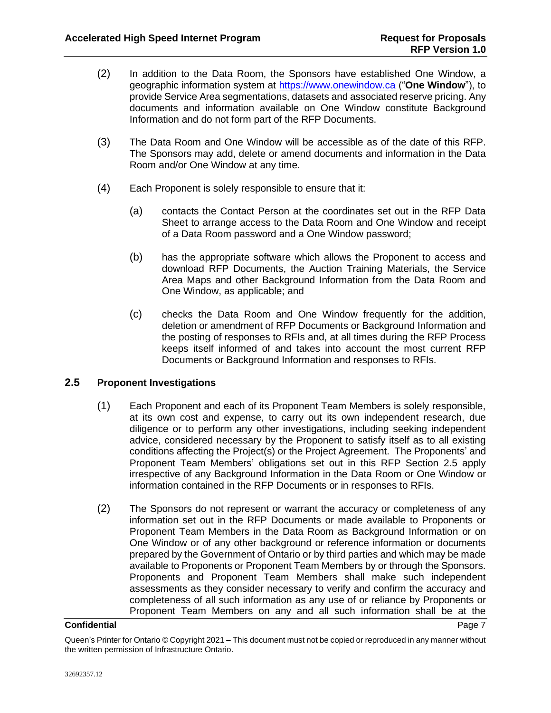- <span id="page-10-2"></span>(2) In addition to the Data Room, the Sponsors have established One Window, a geographic information system at [https://www.onewindow.ca](https://www.onewindow.ca/) ("**One Window**"), to provide Service Area segmentations, datasets and associated reserve pricing. Any documents and information available on One Window constitute Background Information and do not form part of the RFP Documents.
- (3) The Data Room and One Window will be accessible as of the date of this RFP. The Sponsors may add, delete or amend documents and information in the Data Room and/or One Window at any time.
- <span id="page-10-1"></span>(4) Each Proponent is solely responsible to ensure that it:
	- (a) contacts the Contact Person at the coordinates set out in the RFP Data Sheet to arrange access to the Data Room and One Window and receipt of a Data Room password and a One Window password;
	- (b) has the appropriate software which allows the Proponent to access and download RFP Documents, the Auction Training Materials, the Service Area Maps and other Background Information from the Data Room and One Window, as applicable; and
	- (c) checks the Data Room and One Window frequently for the addition, deletion or amendment of RFP Documents or Background Information and the posting of responses to RFIs and, at all times during the RFP Process keeps itself informed of and takes into account the most current RFP Documents or Background Information and responses to RFIs.

# <span id="page-10-0"></span>**2.5 Proponent Investigations**

- (1) Each Proponent and each of its Proponent Team Members is solely responsible, at its own cost and expense, to carry out its own independent research, due diligence or to perform any other investigations, including seeking independent advice, considered necessary by the Proponent to satisfy itself as to all existing conditions affecting the Project(s) or the Project Agreement. The Proponents' and Proponent Team Members' obligations set out in this RFP Section [2.5](#page-10-0) apply irrespective of any Background Information in the Data Room or One Window or information contained in the RFP Documents or in responses to RFIs.
- (2) The Sponsors do not represent or warrant the accuracy or completeness of any information set out in the RFP Documents or made available to Proponents or Proponent Team Members in the Data Room as Background Information or on One Window or of any other background or reference information or documents prepared by the Government of Ontario or by third parties and which may be made available to Proponents or Proponent Team Members by or through the Sponsors. Proponents and Proponent Team Members shall make such independent assessments as they consider necessary to verify and confirm the accuracy and completeness of all such information as any use of or reliance by Proponents or Proponent Team Members on any and all such information shall be at the

#### **Confidential** Page 7 **Page 7**

Queen's Printer for Ontario © Copyright 2021 – This document must not be copied or reproduced in any manner without the written permission of Infrastructure Ontario.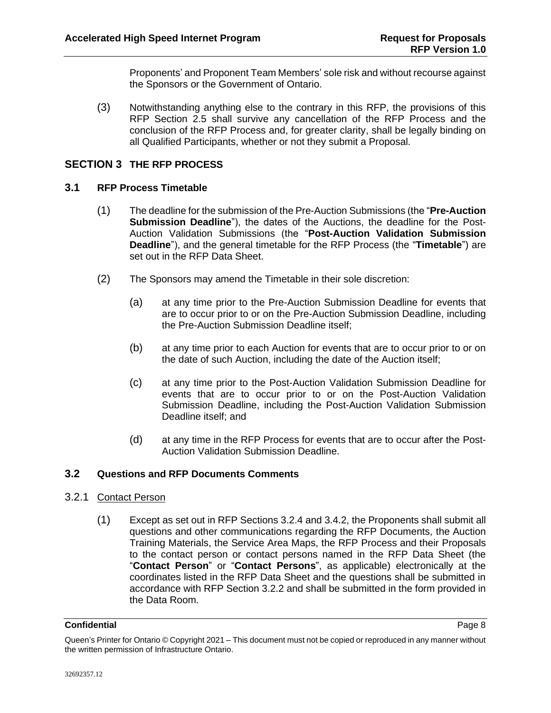Proponents' and Proponent Team Members' sole risk and without recourse against the Sponsors or the Government of Ontario.

(3) Notwithstanding anything else to the contrary in this RFP, the provisions of this RFP Section [2.5](#page-10-0) shall survive any cancellation of the RFP Process and the conclusion of the RFP Process and, for greater clarity, shall be legally binding on all Qualified Participants, whether or not they submit a Proposal.

# <span id="page-11-0"></span>**SECTION 3 THE RFP PROCESS**

# <span id="page-11-4"></span><span id="page-11-1"></span>**3.1 RFP Process Timetable**

- (1) The deadline for the submission of the Pre-Auction Submissions (the "**Pre-Auction Submission Deadline**"), the dates of the Auctions, the deadline for the Post-Auction Validation Submissions (the "**Post-Auction Validation Submission Deadline**"), and the general timetable for the RFP Process (the "**Timetable**") are set out in the RFP Data Sheet.
- (2) The Sponsors may amend the Timetable in their sole discretion:
	- (a) at any time prior to the Pre-Auction Submission Deadline for events that are to occur prior to or on the Pre-Auction Submission Deadline, including the Pre-Auction Submission Deadline itself;
	- (b) at any time prior to each Auction for events that are to occur prior to or on the date of such Auction, including the date of the Auction itself;
	- (c) at any time prior to the Post-Auction Validation Submission Deadline for events that are to occur prior to or on the Post-Auction Validation Submission Deadline, including the Post-Auction Validation Submission Deadline itself; and
	- (d) at any time in the RFP Process for events that are to occur after the Post-Auction Validation Submission Deadline.

### <span id="page-11-2"></span>**3.2 Questions and RFP Documents Comments**

- <span id="page-11-3"></span>3.2.1 Contact Person
	- (1) Except as set out in RFP Sections [3.2.4](#page-13-0) and [3.4.2,](#page-17-0) the Proponents shall submit all questions and other communications regarding the RFP Documents, the Auction Training Materials, the Service Area Maps, the RFP Process and their Proposals to the contact person or contact persons named in the RFP Data Sheet (the "**Contact Person**" or "**Contact Persons**", as applicable) electronically at the coordinates listed in the RFP Data Sheet and the questions shall be submitted in accordance with RFP Section [3.2.2](#page-12-0) and shall be submitted in the form provided in the Data Room.

#### **Confidential** Page 8 **Page 8**

Queen's Printer for Ontario © Copyright 2021 – This document must not be copied or reproduced in any manner without the written permission of Infrastructure Ontario.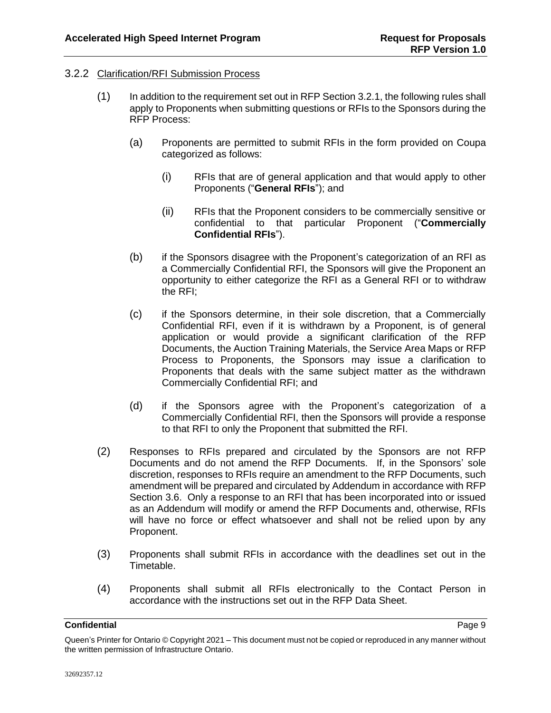# <span id="page-12-0"></span>3.2.2 Clarification/RFI Submission Process

- <span id="page-12-2"></span><span id="page-12-1"></span>(1) In addition to the requirement set out in RFP Sectio[n 3.2.1,](#page-11-3) the following rules shall apply to Proponents when submitting questions or RFIs to the Sponsors during the RFP Process:
	- (a) Proponents are permitted to submit RFIs in the form provided on Coupa categorized as follows:
		- (i) RFIs that are of general application and that would apply to other Proponents ("**General RFIs**"); and
		- (ii) RFIs that the Proponent considers to be commercially sensitive or confidential to that particular Proponent ("**Commercially Confidential RFIs**").
	- (b) if the Sponsors disagree with the Proponent's categorization of an RFI as a Commercially Confidential RFI, the Sponsors will give the Proponent an opportunity to either categorize the RFI as a General RFI or to withdraw the RFI;
	- (c) if the Sponsors determine, in their sole discretion, that a Commercially Confidential RFI, even if it is withdrawn by a Proponent, is of general application or would provide a significant clarification of the RFP Documents, the Auction Training Materials, the Service Area Maps or RFP Process to Proponents, the Sponsors may issue a clarification to Proponents that deals with the same subject matter as the withdrawn Commercially Confidential RFI; and
	- (d) if the Sponsors agree with the Proponent's categorization of a Commercially Confidential RFI, then the Sponsors will provide a response to that RFI to only the Proponent that submitted the RFI.
- (2) Responses to RFIs prepared and circulated by the Sponsors are not RFP Documents and do not amend the RFP Documents. If, in the Sponsors' sole discretion, responses to RFIs require an amendment to the RFP Documents, such amendment will be prepared and circulated by Addendum in accordance with RFP Section [3.6.](#page-21-0) Only a response to an RFI that has been incorporated into or issued as an Addendum will modify or amend the RFP Documents and, otherwise, RFIs will have no force or effect whatsoever and shall not be relied upon by any Proponent.
- (3) Proponents shall submit RFIs in accordance with the deadlines set out in the Timetable.
- (4) Proponents shall submit all RFIs electronically to the Contact Person in accordance with the instructions set out in the RFP Data Sheet.

Queen's Printer for Ontario © Copyright 2021 – This document must not be copied or reproduced in any manner without the written permission of Infrastructure Ontario.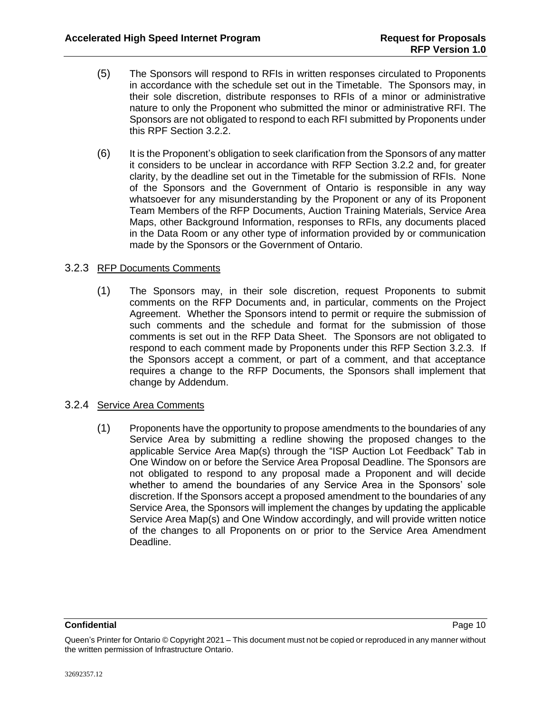- (5) The Sponsors will respond to RFIs in written responses circulated to Proponents in accordance with the schedule set out in the Timetable. The Sponsors may, in their sole discretion, distribute responses to RFIs of a minor or administrative nature to only the Proponent who submitted the minor or administrative RFI. The Sponsors are not obligated to respond to each RFI submitted by Proponents under this RPF Section [3.2.2.](#page-12-0)
- (6) It is the Proponent's obligation to seek clarification from the Sponsors of any matter it considers to be unclear in accordance with RFP Section [3.2.2](#page-12-0) and, for greater clarity, by the deadline set out in the Timetable for the submission of RFIs. None of the Sponsors and the Government of Ontario is responsible in any way whatsoever for any misunderstanding by the Proponent or any of its Proponent Team Members of the RFP Documents, Auction Training Materials, Service Area Maps, other Background Information, responses to RFIs, any documents placed in the Data Room or any other type of information provided by or communication made by the Sponsors or the Government of Ontario.

# <span id="page-13-1"></span>3.2.3 RFP Documents Comments

(1) The Sponsors may, in their sole discretion, request Proponents to submit comments on the RFP Documents and, in particular, comments on the Project Agreement. Whether the Sponsors intend to permit or require the submission of such comments and the schedule and format for the submission of those comments is set out in the RFP Data Sheet. The Sponsors are not obligated to respond to each comment made by Proponents under this RFP Section [3.2.3.](#page-13-1) If the Sponsors accept a comment, or part of a comment, and that acceptance requires a change to the RFP Documents, the Sponsors shall implement that change by Addendum.

# <span id="page-13-0"></span>3.2.4 Service Area Comments

(1) Proponents have the opportunity to propose amendments to the boundaries of any Service Area by submitting a redline showing the proposed changes to the applicable Service Area Map(s) through the "ISP Auction Lot Feedback" Tab in One Window on or before the Service Area Proposal Deadline. The Sponsors are not obligated to respond to any proposal made a Proponent and will decide whether to amend the boundaries of any Service Area in the Sponsors' sole discretion. If the Sponsors accept a proposed amendment to the boundaries of any Service Area, the Sponsors will implement the changes by updating the applicable Service Area Map(s) and One Window accordingly, and will provide written notice of the changes to all Proponents on or prior to the Service Area Amendment Deadline.

Queen's Printer for Ontario © Copyright 2021 – This document must not be copied or reproduced in any manner without the written permission of Infrastructure Ontario.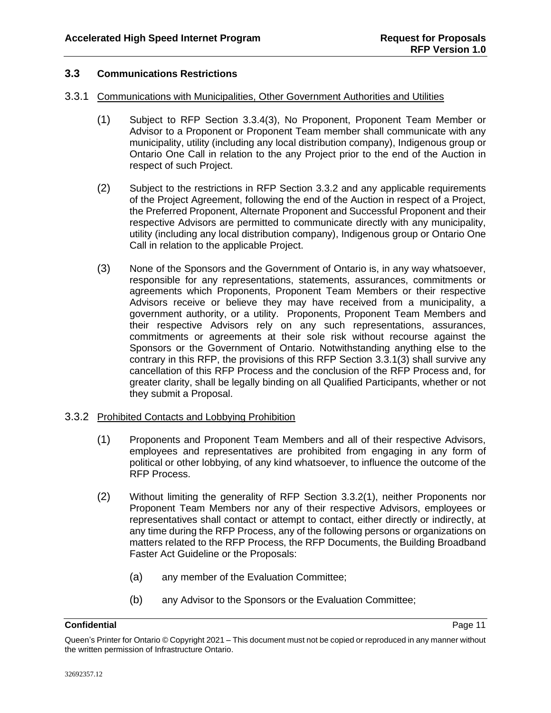# <span id="page-14-0"></span>**3.3 Communications Restrictions**

### <span id="page-14-6"></span>3.3.1 Communications with Municipalities, Other Government Authorities and Utilities

- (1) Subject to RFP Section [3.3.4\(3\),](#page-16-1) No Proponent, Proponent Team Member or Advisor to a Proponent or Proponent Team member shall communicate with any municipality, utility (including any local distribution company), Indigenous group or Ontario One Call in relation to the any Project prior to the end of the Auction in respect of such Project.
- (2) Subject to the restrictions in RFP Section [3.3.2](#page-14-1) and any applicable requirements of the Project Agreement, following the end of the Auction in respect of a Project, the Preferred Proponent, Alternate Proponent and Successful Proponent and their respective Advisors are permitted to communicate directly with any municipality, utility (including any local distribution company), Indigenous group or Ontario One Call in relation to the applicable Project.
- <span id="page-14-2"></span>(3) None of the Sponsors and the Government of Ontario is, in any way whatsoever, responsible for any representations, statements, assurances, commitments or agreements which Proponents, Proponent Team Members or their respective Advisors receive or believe they may have received from a municipality, a government authority, or a utility. Proponents, Proponent Team Members and their respective Advisors rely on any such representations, assurances, commitments or agreements at their sole risk without recourse against the Sponsors or the Government of Ontario. Notwithstanding anything else to the contrary in this RFP, the provisions of this RFP Section [3.3.1\(3\)](#page-14-2) shall survive any cancellation of this RFP Process and the conclusion of the RFP Process and, for greater clarity, shall be legally binding on all Qualified Participants, whether or not they submit a Proposal.

# <span id="page-14-3"></span><span id="page-14-1"></span>3.3.2 Prohibited Contacts and Lobbying Prohibition

- (1) Proponents and Proponent Team Members and all of their respective Advisors, employees and representatives are prohibited from engaging in any form of political or other lobbying, of any kind whatsoever, to influence the outcome of the RFP Process.
- <span id="page-14-5"></span>(2) Without limiting the generality of RFP Section [3.3.2\(1\),](#page-14-3) neither Proponents nor Proponent Team Members nor any of their respective Advisors, employees or representatives shall contact or attempt to contact, either directly or indirectly, at any time during the RFP Process, any of the following persons or organizations on matters related to the RFP Process, the RFP Documents, the Building Broadband Faster Act Guideline or the Proposals:
	- (a) any member of the Evaluation Committee;
	- (b) any Advisor to the Sponsors or the Evaluation Committee;

<span id="page-14-4"></span>Queen's Printer for Ontario © Copyright 2021 – This document must not be copied or reproduced in any manner without the written permission of Infrastructure Ontario.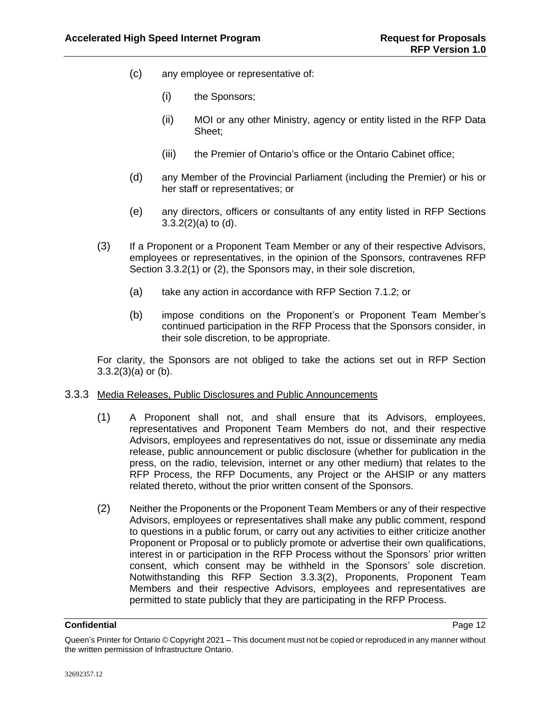- (c) any employee or representative of:
	- (i) the Sponsors;
	- (ii) MOI or any other Ministry, agency or entity listed in the RFP Data Sheet;
	- (iii) the Premier of Ontario's office or the Ontario Cabinet office;
- <span id="page-15-0"></span>(d) any Member of the Provincial Parliament (including the Premier) or his or her staff or representatives; or
- (e) any directors, officers or consultants of any entity listed in RFP Sections  $3.3.2(2)(a)$  to  $(d)$ .
- <span id="page-15-1"></span>(3) If a Proponent or a Proponent Team Member or any of their respective Advisors, employees or representatives, in the opinion of the Sponsors, contravenes RFP Section [3.3.2\(1\)](#page-14-3) or [\(2\),](#page-14-5) the Sponsors may, in their sole discretion,
	- (a) take any action in accordance with RFP Section [7.1.2;](#page-40-0) or
	- (b) impose conditions on the Proponent's or Proponent Team Member's continued participation in the RFP Process that the Sponsors consider, in their sole discretion, to be appropriate.

<span id="page-15-2"></span>For clarity, the Sponsors are not obliged to take the actions set out in RFP Section  $3.3.2(3)(a)$  or [\(b\).](#page-15-2)

# <span id="page-15-4"></span>3.3.3 Media Releases, Public Disclosures and Public Announcements

- (1) A Proponent shall not, and shall ensure that its Advisors, employees, representatives and Proponent Team Members do not, and their respective Advisors, employees and representatives do not, issue or disseminate any media release, public announcement or public disclosure (whether for publication in the press, on the radio, television, internet or any other medium) that relates to the RFP Process, the RFP Documents, any Project or the AHSIP or any matters related thereto, without the prior written consent of the Sponsors.
- <span id="page-15-3"></span>(2) Neither the Proponents or the Proponent Team Members or any of their respective Advisors, employees or representatives shall make any public comment, respond to questions in a public forum, or carry out any activities to either criticize another Proponent or Proposal or to publicly promote or advertise their own qualifications, interest in or participation in the RFP Process without the Sponsors' prior written consent, which consent may be withheld in the Sponsors' sole discretion. Notwithstanding this RFP Section [3.3.3\(2\),](#page-15-3) Proponents, Proponent Team Members and their respective Advisors, employees and representatives are permitted to state publicly that they are participating in the RFP Process.

Queen's Printer for Ontario © Copyright 2021 – This document must not be copied or reproduced in any manner without the written permission of Infrastructure Ontario.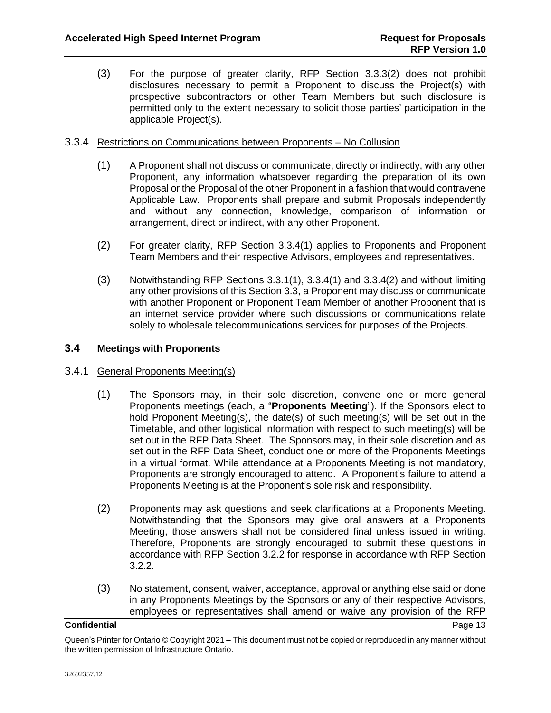(3) For the purpose of greater clarity, RFP Section [3.3.3\(2\)](#page-15-3) does not prohibit disclosures necessary to permit a Proponent to discuss the Project(s) with prospective subcontractors or other Team Members but such disclosure is permitted only to the extent necessary to solicit those parties' participation in the applicable Project(s).

# <span id="page-16-4"></span><span id="page-16-2"></span>3.3.4 Restrictions on Communications between Proponents – No Collusion

- (1) A Proponent shall not discuss or communicate, directly or indirectly, with any other Proponent, any information whatsoever regarding the preparation of its own Proposal or the Proposal of the other Proponent in a fashion that would contravene Applicable Law. Proponents shall prepare and submit Proposals independently and without any connection, knowledge, comparison of information or arrangement, direct or indirect, with any other Proponent.
- <span id="page-16-3"></span>(2) For greater clarity, RFP Section [3.3.4\(1\)](#page-16-2) applies to Proponents and Proponent Team Members and their respective Advisors, employees and representatives.
- <span id="page-16-1"></span>(3) Notwithstanding RFP Sections [3.3.1\(1\),](#page-14-6) [3.3.4\(1\)](#page-16-2) and [3.3.4\(2\)](#page-16-3) and without limiting any other provisions of this Sectio[n 3.3,](#page-14-0) a Proponent may discuss or communicate with another Proponent or Proponent Team Member of another Proponent that is an internet service provider where such discussions or communications relate solely to wholesale telecommunications services for purposes of the Projects.

# <span id="page-16-0"></span>**3.4 Meetings with Proponents**

# <span id="page-16-5"></span>3.4.1 General Proponents Meeting(s)

- (1) The Sponsors may, in their sole discretion, convene one or more general Proponents meetings (each, a "**Proponents Meeting**"). If the Sponsors elect to hold Proponent Meeting(s), the date(s) of such meeting(s) will be set out in the Timetable, and other logistical information with respect to such meeting(s) will be set out in the RFP Data Sheet. The Sponsors may, in their sole discretion and as set out in the RFP Data Sheet, conduct one or more of the Proponents Meetings in a virtual format. While attendance at a Proponents Meeting is not mandatory, Proponents are strongly encouraged to attend. A Proponent's failure to attend a Proponents Meeting is at the Proponent's sole risk and responsibility.
- (2) Proponents may ask questions and seek clarifications at a Proponents Meeting. Notwithstanding that the Sponsors may give oral answers at a Proponents Meeting, those answers shall not be considered final unless issued in writing. Therefore, Proponents are strongly encouraged to submit these questions in accordance with RFP Section [3.2.2](#page-12-0) for response in accordance with RFP Section [3.2.2.](#page-12-0)
- (3) No statement, consent, waiver, acceptance, approval or anything else said or done in any Proponents Meetings by the Sponsors or any of their respective Advisors, employees or representatives shall amend or waive any provision of the RFP

Queen's Printer for Ontario © Copyright 2021 – This document must not be copied or reproduced in any manner without the written permission of Infrastructure Ontario.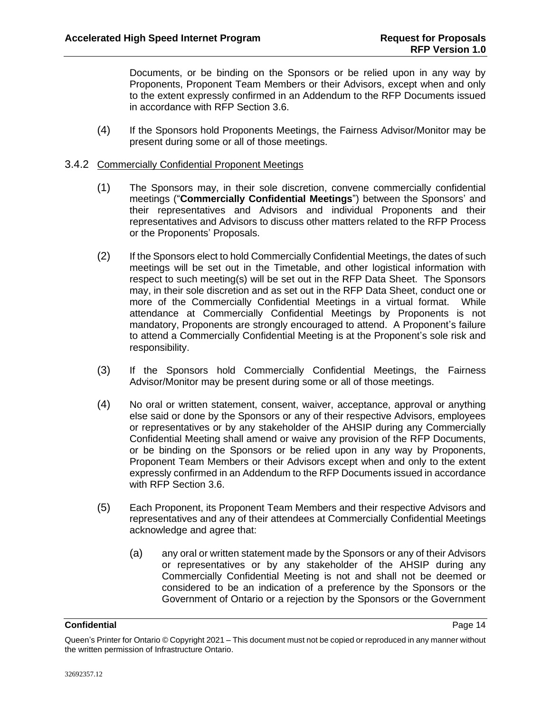Documents, or be binding on the Sponsors or be relied upon in any way by Proponents, Proponent Team Members or their Advisors, except when and only to the extent expressly confirmed in an Addendum to the RFP Documents issued in accordance with RFP Section [3.6.](#page-21-0)

(4) If the Sponsors hold Proponents Meetings, the Fairness Advisor/Monitor may be present during some or all of those meetings.

### <span id="page-17-1"></span><span id="page-17-0"></span>3.4.2 Commercially Confidential Proponent Meetings

- (1) The Sponsors may, in their sole discretion, convene commercially confidential meetings ("**Commercially Confidential Meetings**") between the Sponsors' and their representatives and Advisors and individual Proponents and their representatives and Advisors to discuss other matters related to the RFP Process or the Proponents' Proposals.
- (2) If the Sponsors elect to hold Commercially Confidential Meetings, the dates of such meetings will be set out in the Timetable, and other logistical information with respect to such meeting(s) will be set out in the RFP Data Sheet. The Sponsors may, in their sole discretion and as set out in the RFP Data Sheet, conduct one or more of the Commercially Confidential Meetings in a virtual format. While attendance at Commercially Confidential Meetings by Proponents is not mandatory, Proponents are strongly encouraged to attend. A Proponent's failure to attend a Commercially Confidential Meeting is at the Proponent's sole risk and responsibility.
- (3) If the Sponsors hold Commercially Confidential Meetings, the Fairness Advisor/Monitor may be present during some or all of those meetings.
- (4) No oral or written statement, consent, waiver, acceptance, approval or anything else said or done by the Sponsors or any of their respective Advisors, employees or representatives or by any stakeholder of the AHSIP during any Commercially Confidential Meeting shall amend or waive any provision of the RFP Documents, or be binding on the Sponsors or be relied upon in any way by Proponents, Proponent Team Members or their Advisors except when and only to the extent expressly confirmed in an Addendum to the RFP Documents issued in accordance with RFP Section [3.6.](#page-21-0)
- (5) Each Proponent, its Proponent Team Members and their respective Advisors and representatives and any of their attendees at Commercially Confidential Meetings acknowledge and agree that:
	- (a) any oral or written statement made by the Sponsors or any of their Advisors or representatives or by any stakeholder of the AHSIP during any Commercially Confidential Meeting is not and shall not be deemed or considered to be an indication of a preference by the Sponsors or the Government of Ontario or a rejection by the Sponsors or the Government

Queen's Printer for Ontario © Copyright 2021 – This document must not be copied or reproduced in any manner without the written permission of Infrastructure Ontario.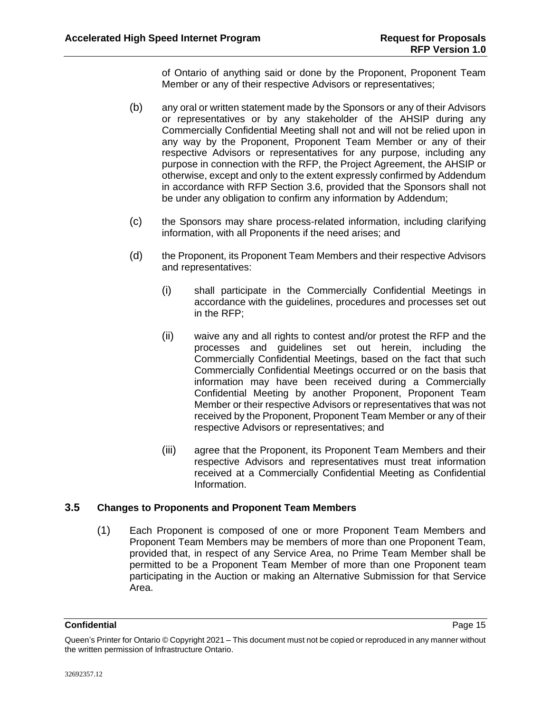of Ontario of anything said or done by the Proponent, Proponent Team Member or any of their respective Advisors or representatives;

- (b) any oral or written statement made by the Sponsors or any of their Advisors or representatives or by any stakeholder of the AHSIP during any Commercially Confidential Meeting shall not and will not be relied upon in any way by the Proponent, Proponent Team Member or any of their respective Advisors or representatives for any purpose, including any purpose in connection with the RFP, the Project Agreement, the AHSIP or otherwise, except and only to the extent expressly confirmed by Addendum in accordance with RFP Section [3.6,](#page-21-0) provided that the Sponsors shall not be under any obligation to confirm any information by Addendum;
- (c) the Sponsors may share process-related information, including clarifying information, with all Proponents if the need arises; and
- (d) the Proponent, its Proponent Team Members and their respective Advisors and representatives:
	- (i) shall participate in the Commercially Confidential Meetings in accordance with the guidelines, procedures and processes set out in the RFP;
	- (ii) waive any and all rights to contest and/or protest the RFP and the processes and guidelines set out herein, including the Commercially Confidential Meetings, based on the fact that such Commercially Confidential Meetings occurred or on the basis that information may have been received during a Commercially Confidential Meeting by another Proponent, Proponent Team Member or their respective Advisors or representatives that was not received by the Proponent, Proponent Team Member or any of their respective Advisors or representatives; and
	- (iii) agree that the Proponent, its Proponent Team Members and their respective Advisors and representatives must treat information received at a Commercially Confidential Meeting as Confidential Information.

# <span id="page-18-0"></span>**3.5 Changes to Proponents and Proponent Team Members**

(1) Each Proponent is composed of one or more Proponent Team Members and Proponent Team Members may be members of more than one Proponent Team, provided that, in respect of any Service Area, no Prime Team Member shall be permitted to be a Proponent Team Member of more than one Proponent team participating in the Auction or making an Alternative Submission for that Service Area.

<span id="page-18-1"></span>

Queen's Printer for Ontario © Copyright 2021 – This document must not be copied or reproduced in any manner without the written permission of Infrastructure Ontario.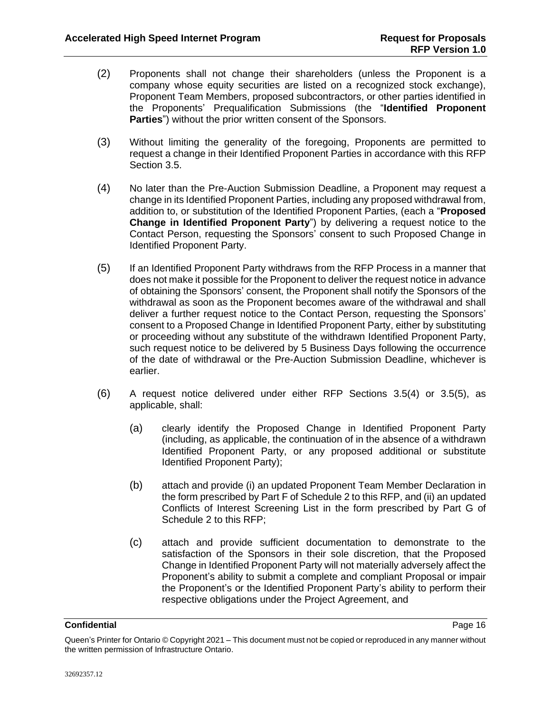- (2) Proponents shall not change their shareholders (unless the Proponent is a company whose equity securities are listed on a recognized stock exchange), Proponent Team Members, proposed subcontractors, or other parties identified in the Proponents' Prequalification Submissions (the "**Identified Proponent Parties**") without the prior written consent of the Sponsors.
- (3) Without limiting the generality of the foregoing, Proponents are permitted to request a change in their Identified Proponent Parties in accordance with this RFP Section [3.5.](#page-18-0)
- <span id="page-19-0"></span>(4) No later than the Pre-Auction Submission Deadline, a Proponent may request a change in its Identified Proponent Parties, including any proposed withdrawal from, addition to, or substitution of the Identified Proponent Parties, (each a "**Proposed Change in Identified Proponent Party**") by delivering a request notice to the Contact Person, requesting the Sponsors' consent to such Proposed Change in Identified Proponent Party.
- <span id="page-19-1"></span>(5) If an Identified Proponent Party withdraws from the RFP Process in a manner that does not make it possible for the Proponent to deliver the request notice in advance of obtaining the Sponsors' consent, the Proponent shall notify the Sponsors of the withdrawal as soon as the Proponent becomes aware of the withdrawal and shall deliver a further request notice to the Contact Person, requesting the Sponsors' consent to a Proposed Change in Identified Proponent Party, either by substituting or proceeding without any substitute of the withdrawn Identified Proponent Party, such request notice to be delivered by 5 Business Days following the occurrence of the date of withdrawal or the Pre-Auction Submission Deadline, whichever is earlier.
- <span id="page-19-2"></span>(6) A request notice delivered under either RFP Sections [3.5\(4\)](#page-19-0) or [3.5\(5\),](#page-19-1) as applicable, shall:
	- (a) clearly identify the Proposed Change in Identified Proponent Party (including, as applicable, the continuation of in the absence of a withdrawn Identified Proponent Party, or any proposed additional or substitute Identified Proponent Party);
	- (b) attach and provide (i) an updated Proponent Team Member Declaration in the form prescribed by Part F of Schedule 2 to this RFP, and (ii) an updated Conflicts of Interest Screening List in the form prescribed by Part G of Schedule 2 to this RFP;
	- (c) attach and provide sufficient documentation to demonstrate to the satisfaction of the Sponsors in their sole discretion, that the Proposed Change in Identified Proponent Party will not materially adversely affect the Proponent's ability to submit a complete and compliant Proposal or impair the Proponent's or the Identified Proponent Party's ability to perform their respective obligations under the Project Agreement, and

Queen's Printer for Ontario © Copyright 2021 – This document must not be copied or reproduced in any manner without the written permission of Infrastructure Ontario.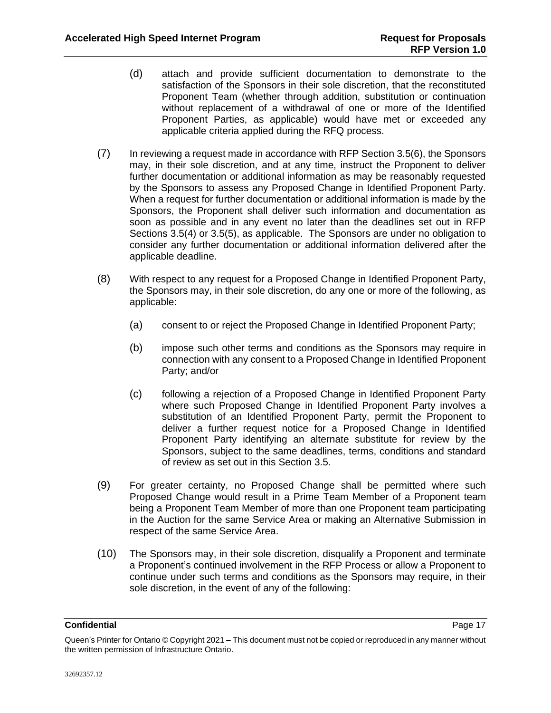- (d) attach and provide sufficient documentation to demonstrate to the satisfaction of the Sponsors in their sole discretion, that the reconstituted Proponent Team (whether through addition, substitution or continuation without replacement of a withdrawal of one or more of the Identified Proponent Parties, as applicable) would have met or exceeded any applicable criteria applied during the RFQ process.
- (7) In reviewing a request made in accordance with RFP Section [3.5\(6\),](#page-19-2) the Sponsors may, in their sole discretion, and at any time, instruct the Proponent to deliver further documentation or additional information as may be reasonably requested by the Sponsors to assess any Proposed Change in Identified Proponent Party. When a request for further documentation or additional information is made by the Sponsors, the Proponent shall deliver such information and documentation as soon as possible and in any event no later than the deadlines set out in RFP Sections [3.5\(4\)](#page-19-0) or [3.5\(5\),](#page-19-1) as applicable. The Sponsors are under no obligation to consider any further documentation or additional information delivered after the applicable deadline.
- (8) With respect to any request for a Proposed Change in Identified Proponent Party, the Sponsors may, in their sole discretion, do any one or more of the following, as applicable:
	- (a) consent to or reject the Proposed Change in Identified Proponent Party;
	- (b) impose such other terms and conditions as the Sponsors may require in connection with any consent to a Proposed Change in Identified Proponent Party; and/or
	- (c) following a rejection of a Proposed Change in Identified Proponent Party where such Proposed Change in Identified Proponent Party involves a substitution of an Identified Proponent Party, permit the Proponent to deliver a further request notice for a Proposed Change in Identified Proponent Party identifying an alternate substitute for review by the Sponsors, subject to the same deadlines, terms, conditions and standard of review as set out in this Section [3.5.](#page-18-0)
- (9) For greater certainty, no Proposed Change shall be permitted where such Proposed Change would result in a Prime Team Member of a Proponent team being a Proponent Team Member of more than one Proponent team participating in the Auction for the same Service Area or making an Alternative Submission in respect of the same Service Area.
- (10) The Sponsors may, in their sole discretion, disqualify a Proponent and terminate a Proponent's continued involvement in the RFP Process or allow a Proponent to continue under such terms and conditions as the Sponsors may require, in their sole discretion, in the event of any of the following:

Queen's Printer for Ontario © Copyright 2021 – This document must not be copied or reproduced in any manner without the written permission of Infrastructure Ontario.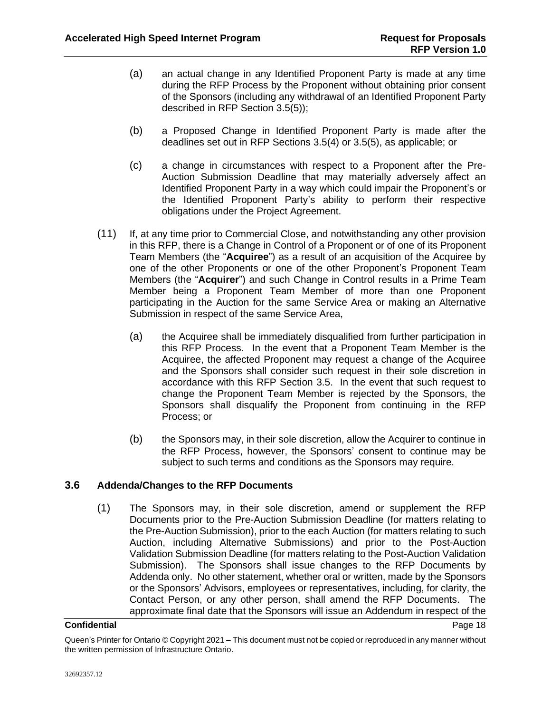- (a) an actual change in any Identified Proponent Party is made at any time during the RFP Process by the Proponent without obtaining prior consent of the Sponsors (including any withdrawal of an Identified Proponent Party described in RFP Section [3.5\(5\)\)](#page-19-1);
- (b) a Proposed Change in Identified Proponent Party is made after the deadlines set out in RFP Sections [3.5\(4\)](#page-19-0) or [3.5\(5\),](#page-19-1) as applicable; or
- (c) a change in circumstances with respect to a Proponent after the Pre-Auction Submission Deadline that may materially adversely affect an Identified Proponent Party in a way which could impair the Proponent's or the Identified Proponent Party's ability to perform their respective obligations under the Project Agreement.
- <span id="page-21-1"></span>(11) If, at any time prior to Commercial Close, and notwithstanding any other provision in this RFP, there is a Change in Control of a Proponent or of one of its Proponent Team Members (the "**Acquiree**") as a result of an acquisition of the Acquiree by one of the other Proponents or one of the other Proponent's Proponent Team Members (the "**Acquirer**") and such Change in Control results in a Prime Team Member being a Proponent Team Member of more than one Proponent participating in the Auction for the same Service Area or making an Alternative Submission in respect of the same Service Area,
	- (a) the Acquiree shall be immediately disqualified from further participation in this RFP Process. In the event that a Proponent Team Member is the Acquiree, the affected Proponent may request a change of the Acquiree and the Sponsors shall consider such request in their sole discretion in accordance with this RFP Section [3.5.](#page-18-0) In the event that such request to change the Proponent Team Member is rejected by the Sponsors, the Sponsors shall disqualify the Proponent from continuing in the RFP Process; or
	- (b) the Sponsors may, in their sole discretion, allow the Acquirer to continue in the RFP Process, however, the Sponsors' consent to continue may be subject to such terms and conditions as the Sponsors may require.

# <span id="page-21-0"></span>**3.6 Addenda/Changes to the RFP Documents**

(1) The Sponsors may, in their sole discretion, amend or supplement the RFP Documents prior to the Pre-Auction Submission Deadline (for matters relating to the Pre-Auction Submission), prior to the each Auction (for matters relating to such Auction, including Alternative Submissions) and prior to the Post-Auction Validation Submission Deadline (for matters relating to the Post-Auction Validation Submission). The Sponsors shall issue changes to the RFP Documents by Addenda only. No other statement, whether oral or written, made by the Sponsors or the Sponsors' Advisors, employees or representatives, including, for clarity, the Contact Person, or any other person, shall amend the RFP Documents. The approximate final date that the Sponsors will issue an Addendum in respect of the

Queen's Printer for Ontario © Copyright 2021 – This document must not be copied or reproduced in any manner without the written permission of Infrastructure Ontario.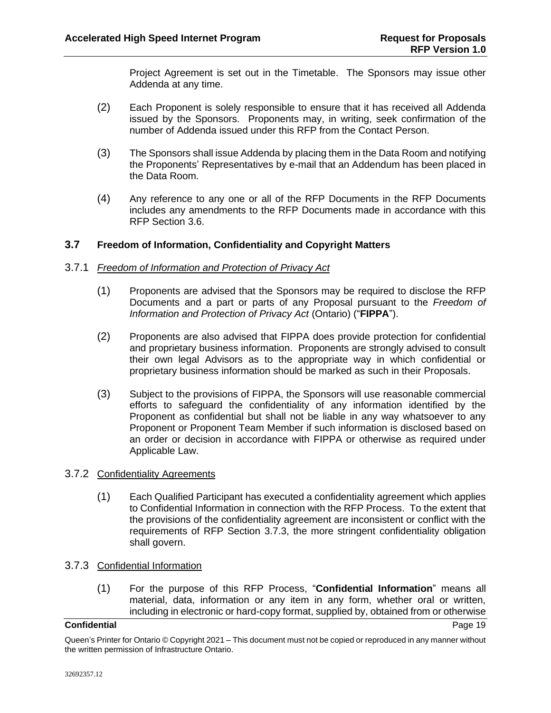Project Agreement is set out in the Timetable. The Sponsors may issue other Addenda at any time.

- (2) Each Proponent is solely responsible to ensure that it has received all Addenda issued by the Sponsors. Proponents may, in writing, seek confirmation of the number of Addenda issued under this RFP from the Contact Person.
- (3) The Sponsors shall issue Addenda by placing them in the Data Room and notifying the Proponents' Representatives by e-mail that an Addendum has been placed in the Data Room.
- (4) Any reference to any one or all of the RFP Documents in the RFP Documents includes any amendments to the RFP Documents made in accordance with this RFP Section [3.6.](#page-21-0)

# <span id="page-22-0"></span>**3.7 Freedom of Information, Confidentiality and Copyright Matters**

# <span id="page-22-3"></span>3.7.1 *Freedom of Information and Protection of Privacy Act*

- (1) Proponents are advised that the Sponsors may be required to disclose the RFP Documents and a part or parts of any Proposal pursuant to the *Freedom of Information and Protection of Privacy Act* (Ontario) ("**FIPPA**").
- (2) Proponents are also advised that FIPPA does provide protection for confidential and proprietary business information. Proponents are strongly advised to consult their own legal Advisors as to the appropriate way in which confidential or proprietary business information should be marked as such in their Proposals.
- (3) Subject to the provisions of FIPPA, the Sponsors will use reasonable commercial efforts to safeguard the confidentiality of any information identified by the Proponent as confidential but shall not be liable in any way whatsoever to any Proponent or Proponent Team Member if such information is disclosed based on an order or decision in accordance with FIPPA or otherwise as required under Applicable Law.

# 3.7.2 Confidentiality Agreements

(1) Each Qualified Participant has executed a confidentiality agreement which applies to Confidential Information in connection with the RFP Process. To the extent that the provisions of the confidentiality agreement are inconsistent or conflict with the requirements of RFP Section [3.7.3,](#page-22-1) the more stringent confidentiality obligation shall govern.

# <span id="page-22-2"></span><span id="page-22-1"></span>3.7.3 Confidential Information

(1) For the purpose of this RFP Process, "**Confidential Information**" means all material, data, information or any item in any form, whether oral or written, including in electronic or hard-copy format, supplied by, obtained from or otherwise

Queen's Printer for Ontario © Copyright 2021 – This document must not be copied or reproduced in any manner without the written permission of Infrastructure Ontario.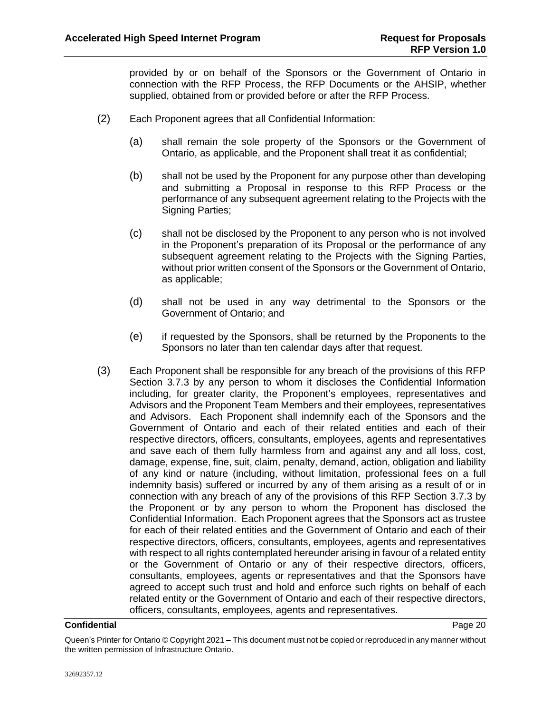provided by or on behalf of the Sponsors or the Government of Ontario in connection with the RFP Process, the RFP Documents or the AHSIP, whether supplied, obtained from or provided before or after the RFP Process.

- (2) Each Proponent agrees that all Confidential Information:
	- (a) shall remain the sole property of the Sponsors or the Government of Ontario, as applicable, and the Proponent shall treat it as confidential;
	- (b) shall not be used by the Proponent for any purpose other than developing and submitting a Proposal in response to this RFP Process or the performance of any subsequent agreement relating to the Projects with the Signing Parties;
	- (c) shall not be disclosed by the Proponent to any person who is not involved in the Proponent's preparation of its Proposal or the performance of any subsequent agreement relating to the Projects with the Signing Parties, without prior written consent of the Sponsors or the Government of Ontario, as applicable;
	- (d) shall not be used in any way detrimental to the Sponsors or the Government of Ontario; and
	- (e) if requested by the Sponsors, shall be returned by the Proponents to the Sponsors no later than ten calendar days after that request.
- (3) Each Proponent shall be responsible for any breach of the provisions of this RFP Section [3.7.3](#page-22-1) by any person to whom it discloses the Confidential Information including, for greater clarity, the Proponent's employees, representatives and Advisors and the Proponent Team Members and their employees, representatives and Advisors. Each Proponent shall indemnify each of the Sponsors and the Government of Ontario and each of their related entities and each of their respective directors, officers, consultants, employees, agents and representatives and save each of them fully harmless from and against any and all loss, cost, damage, expense, fine, suit, claim, penalty, demand, action, obligation and liability of any kind or nature (including, without limitation, professional fees on a full indemnity basis) suffered or incurred by any of them arising as a result of or in connection with any breach of any of the provisions of this RFP Section [3.7.3](#page-22-1) by the Proponent or by any person to whom the Proponent has disclosed the Confidential Information. Each Proponent agrees that the Sponsors act as trustee for each of their related entities and the Government of Ontario and each of their respective directors, officers, consultants, employees, agents and representatives with respect to all rights contemplated hereunder arising in favour of a related entity or the Government of Ontario or any of their respective directors, officers, consultants, employees, agents or representatives and that the Sponsors have agreed to accept such trust and hold and enforce such rights on behalf of each related entity or the Government of Ontario and each of their respective directors, officers, consultants, employees, agents and representatives.

#### **Confidential** Page 20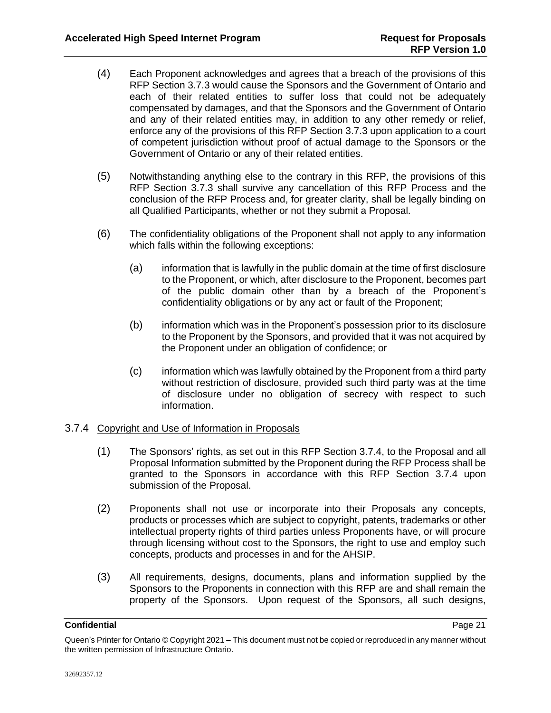- (4) Each Proponent acknowledges and agrees that a breach of the provisions of this RFP Section [3.7.3](#page-22-1) would cause the Sponsors and the Government of Ontario and each of their related entities to suffer loss that could not be adequately compensated by damages, and that the Sponsors and the Government of Ontario and any of their related entities may, in addition to any other remedy or relief, enforce any of the provisions of this RFP Section [3.7.3](#page-22-1) upon application to a court of competent jurisdiction without proof of actual damage to the Sponsors or the Government of Ontario or any of their related entities.
- (5) Notwithstanding anything else to the contrary in this RFP, the provisions of this RFP Section [3.7.3](#page-22-1) shall survive any cancellation of this RFP Process and the conclusion of the RFP Process and, for greater clarity, shall be legally binding on all Qualified Participants, whether or not they submit a Proposal.
- (6) The confidentiality obligations of the Proponent shall not apply to any information which falls within the following exceptions:
	- (a) information that is lawfully in the public domain at the time of first disclosure to the Proponent, or which, after disclosure to the Proponent, becomes part of the public domain other than by a breach of the Proponent's confidentiality obligations or by any act or fault of the Proponent;
	- (b) information which was in the Proponent's possession prior to its disclosure to the Proponent by the Sponsors, and provided that it was not acquired by the Proponent under an obligation of confidence; or
	- (c) information which was lawfully obtained by the Proponent from a third party without restriction of disclosure, provided such third party was at the time of disclosure under no obligation of secrecy with respect to such information.

# <span id="page-24-0"></span>3.7.4 Copyright and Use of Information in Proposals

- (1) The Sponsors' rights, as set out in this RFP Section [3.7.4,](#page-24-0) to the Proposal and all Proposal Information submitted by the Proponent during the RFP Process shall be granted to the Sponsors in accordance with this RFP Section [3.7.4](#page-24-0) upon submission of the Proposal.
- (2) Proponents shall not use or incorporate into their Proposals any concepts, products or processes which are subject to copyright, patents, trademarks or other intellectual property rights of third parties unless Proponents have, or will procure through licensing without cost to the Sponsors, the right to use and employ such concepts, products and processes in and for the AHSIP.
- (3) All requirements, designs, documents, plans and information supplied by the Sponsors to the Proponents in connection with this RFP are and shall remain the property of the Sponsors. Upon request of the Sponsors, all such designs,

Queen's Printer for Ontario © Copyright 2021 – This document must not be copied or reproduced in any manner without the written permission of Infrastructure Ontario.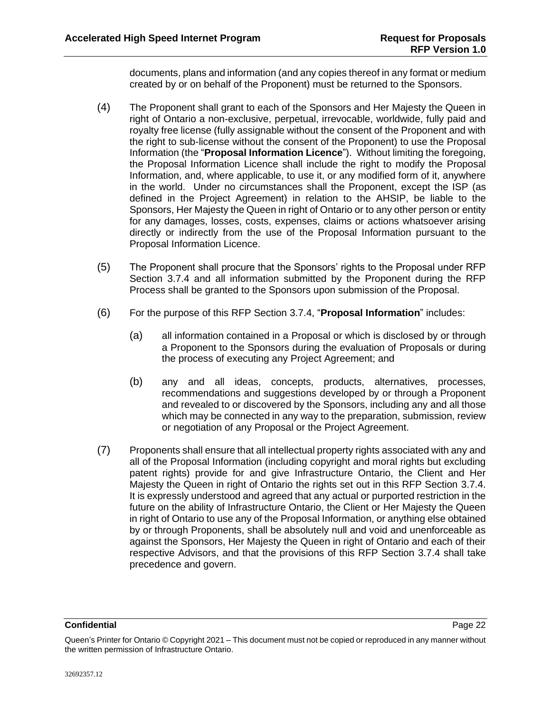documents, plans and information (and any copies thereof in any format or medium created by or on behalf of the Proponent) must be returned to the Sponsors.

- <span id="page-25-1"></span>(4) The Proponent shall grant to each of the Sponsors and Her Majesty the Queen in right of Ontario a non-exclusive, perpetual, irrevocable, worldwide, fully paid and royalty free license (fully assignable without the consent of the Proponent and with the right to sub-license without the consent of the Proponent) to use the Proposal Information (the "**Proposal Information Licence**"). Without limiting the foregoing, the Proposal Information Licence shall include the right to modify the Proposal Information, and, where applicable, to use it, or any modified form of it, anywhere in the world. Under no circumstances shall the Proponent, except the ISP (as defined in the Project Agreement) in relation to the AHSIP, be liable to the Sponsors, Her Majesty the Queen in right of Ontario or to any other person or entity for any damages, losses, costs, expenses, claims or actions whatsoever arising directly or indirectly from the use of the Proposal Information pursuant to the Proposal Information Licence.
- (5) The Proponent shall procure that the Sponsors' rights to the Proposal under RFP Section [3.7.4](#page-24-0) and all information submitted by the Proponent during the RFP Process shall be granted to the Sponsors upon submission of the Proposal.
- <span id="page-25-0"></span>(6) For the purpose of this RFP Section [3.7.4,](#page-24-0) "**Proposal Information**" includes:
	- (a) all information contained in a Proposal or which is disclosed by or through a Proponent to the Sponsors during the evaluation of Proposals or during the process of executing any Project Agreement; and
	- (b) any and all ideas, concepts, products, alternatives, processes, recommendations and suggestions developed by or through a Proponent and revealed to or discovered by the Sponsors, including any and all those which may be connected in any way to the preparation, submission, review or negotiation of any Proposal or the Project Agreement.
- (7) Proponents shall ensure that all intellectual property rights associated with any and all of the Proposal Information (including copyright and moral rights but excluding patent rights) provide for and give Infrastructure Ontario, the Client and Her Majesty the Queen in right of Ontario the rights set out in this RFP Section [3.7.4.](#page-24-0) It is expressly understood and agreed that any actual or purported restriction in the future on the ability of Infrastructure Ontario, the Client or Her Majesty the Queen in right of Ontario to use any of the Proposal Information, or anything else obtained by or through Proponents, shall be absolutely null and void and unenforceable as against the Sponsors, Her Majesty the Queen in right of Ontario and each of their respective Advisors, and that the provisions of this RFP Section [3.7.4](#page-24-0) shall take precedence and govern.

Queen's Printer for Ontario © Copyright 2021 – This document must not be copied or reproduced in any manner without the written permission of Infrastructure Ontario.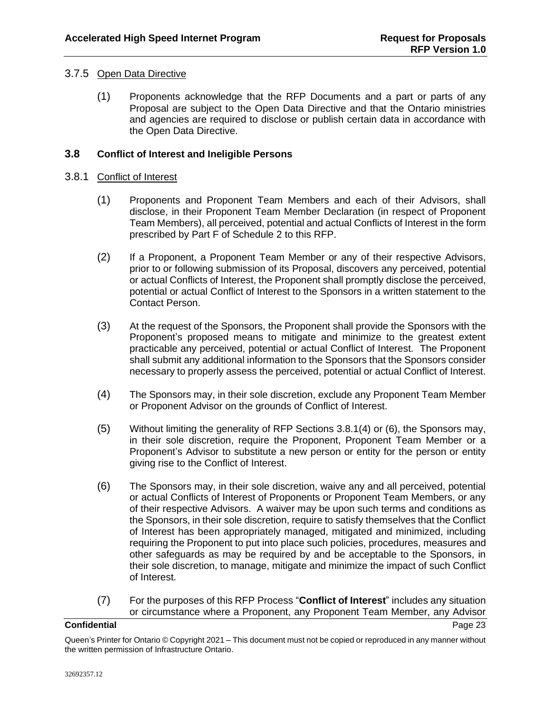# 3.7.5 Open Data Directive

(1) Proponents acknowledge that the RFP Documents and a part or parts of any Proposal are subject to the Open Data Directive and that the Ontario ministries and agencies are required to disclose or publish certain data in accordance with the Open Data Directive.

# <span id="page-26-0"></span>**3.8 Conflict of Interest and Ineligible Persons**

### 3.8.1 Conflict of Interest

- (1) Proponents and Proponent Team Members and each of their Advisors, shall disclose, in their Proponent Team Member Declaration (in respect of Proponent Team Members), all perceived, potential and actual Conflicts of Interest in the form prescribed by Part F of Schedule 2 to this RFP.
- (2) If a Proponent, a Proponent Team Member or any of their respective Advisors, prior to or following submission of its Proposal, discovers any perceived, potential or actual Conflicts of Interest, the Proponent shall promptly disclose the perceived, potential or actual Conflict of Interest to the Sponsors in a written statement to the Contact Person.
- (3) At the request of the Sponsors, the Proponent shall provide the Sponsors with the Proponent's proposed means to mitigate and minimize to the greatest extent practicable any perceived, potential or actual Conflict of Interest. The Proponent shall submit any additional information to the Sponsors that the Sponsors consider necessary to properly assess the perceived, potential or actual Conflict of Interest.
- <span id="page-26-1"></span>(4) The Sponsors may, in their sole discretion, exclude any Proponent Team Member or Proponent Advisor on the grounds of Conflict of Interest.
- <span id="page-26-3"></span>(5) Without limiting the generality of RFP Sections [3.8.1\(4\)](#page-26-1) or [\(6\),](#page-26-2) the Sponsors may, in their sole discretion, require the Proponent, Proponent Team Member or a Proponent's Advisor to substitute a new person or entity for the person or entity giving rise to the Conflict of Interest.
- <span id="page-26-2"></span>(6) The Sponsors may, in their sole discretion, waive any and all perceived, potential or actual Conflicts of Interest of Proponents or Proponent Team Members, or any of their respective Advisors. A waiver may be upon such terms and conditions as the Sponsors, in their sole discretion, require to satisfy themselves that the Conflict of Interest has been appropriately managed, mitigated and minimized, including requiring the Proponent to put into place such policies, procedures, measures and other safeguards as may be required by and be acceptable to the Sponsors, in their sole discretion, to manage, mitigate and minimize the impact of such Conflict of Interest.
- <span id="page-26-4"></span>(7) For the purposes of this RFP Process "**Conflict of Interest**" includes any situation or circumstance where a Proponent, any Proponent Team Member, any Advisor

Queen's Printer for Ontario © Copyright 2021 – This document must not be copied or reproduced in any manner without the written permission of Infrastructure Ontario.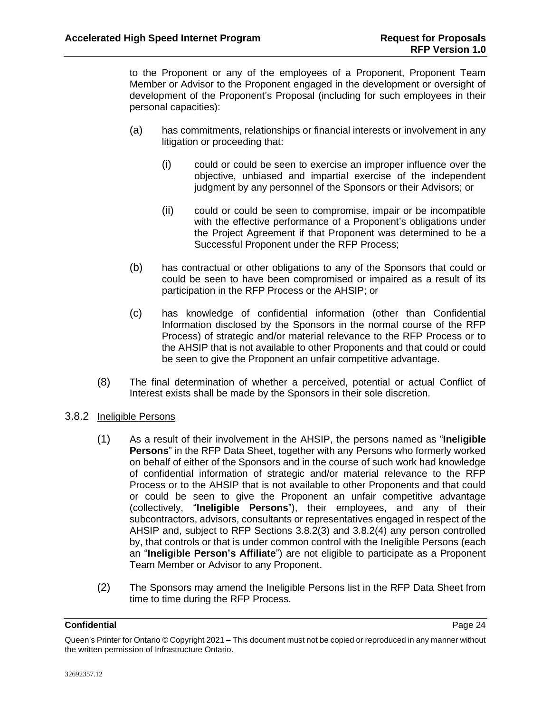to the Proponent or any of the employees of a Proponent, Proponent Team Member or Advisor to the Proponent engaged in the development or oversight of development of the Proponent's Proposal (including for such employees in their personal capacities):

- (a) has commitments, relationships or financial interests or involvement in any litigation or proceeding that:
	- (i) could or could be seen to exercise an improper influence over the objective, unbiased and impartial exercise of the independent judgment by any personnel of the Sponsors or their Advisors; or
	- (ii) could or could be seen to compromise, impair or be incompatible with the effective performance of a Proponent's obligations under the Project Agreement if that Proponent was determined to be a Successful Proponent under the RFP Process;
- (b) has contractual or other obligations to any of the Sponsors that could or could be seen to have been compromised or impaired as a result of its participation in the RFP Process or the AHSIP; or
- (c) has knowledge of confidential information (other than Confidential Information disclosed by the Sponsors in the normal course of the RFP Process) of strategic and/or material relevance to the RFP Process or to the AHSIP that is not available to other Proponents and that could or could be seen to give the Proponent an unfair competitive advantage.
- (8) The final determination of whether a perceived, potential or actual Conflict of Interest exists shall be made by the Sponsors in their sole discretion.

# <span id="page-27-0"></span>3.8.2 Ineligible Persons

- (1) As a result of their involvement in the AHSIP, the persons named as "**Ineligible Persons**" in the RFP Data Sheet, together with any Persons who formerly worked on behalf of either of the Sponsors and in the course of such work had knowledge of confidential information of strategic and/or material relevance to the RFP Process or to the AHSIP that is not available to other Proponents and that could or could be seen to give the Proponent an unfair competitive advantage (collectively, "**Ineligible Persons**"), their employees, and any of their subcontractors, advisors, consultants or representatives engaged in respect of the AHSIP and, subject to RFP Sections [3.8.2\(3\)](#page-28-1) and [3.8.2\(4\)](#page-28-2) any person controlled by, that controls or that is under common control with the Ineligible Persons (each an "**Ineligible Person's Affiliate**") are not eligible to participate as a Proponent Team Member or Advisor to any Proponent.
- (2) The Sponsors may amend the Ineligible Persons list in the RFP Data Sheet from time to time during the RFP Process.

Queen's Printer for Ontario © Copyright 2021 – This document must not be copied or reproduced in any manner without the written permission of Infrastructure Ontario.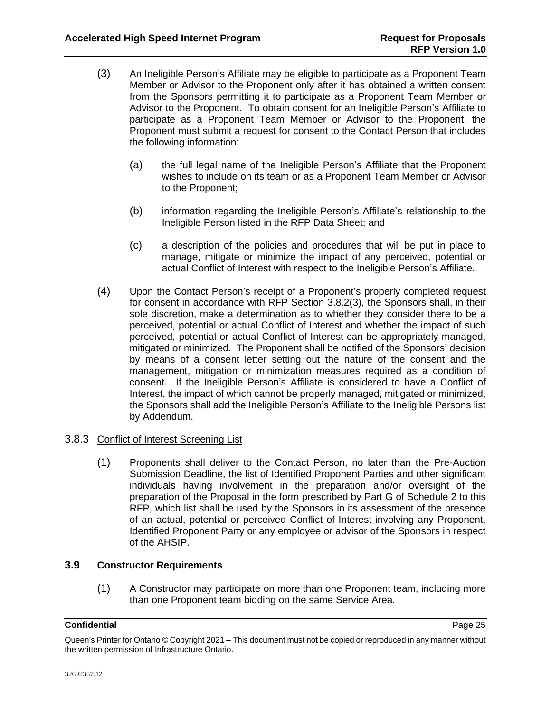- <span id="page-28-1"></span>(3) An Ineligible Person's Affiliate may be eligible to participate as a Proponent Team Member or Advisor to the Proponent only after it has obtained a written consent from the Sponsors permitting it to participate as a Proponent Team Member or Advisor to the Proponent. To obtain consent for an Ineligible Person's Affiliate to participate as a Proponent Team Member or Advisor to the Proponent, the Proponent must submit a request for consent to the Contact Person that includes the following information:
	- (a) the full legal name of the Ineligible Person's Affiliate that the Proponent wishes to include on its team or as a Proponent Team Member or Advisor to the Proponent;
	- (b) information regarding the Ineligible Person's Affiliate's relationship to the Ineligible Person listed in the RFP Data Sheet; and
	- (c) a description of the policies and procedures that will be put in place to manage, mitigate or minimize the impact of any perceived, potential or actual Conflict of Interest with respect to the Ineligible Person's Affiliate.
- <span id="page-28-2"></span>(4) Upon the Contact Person's receipt of a Proponent's properly completed request for consent in accordance with RFP Section [3.8.2\(3\),](#page-28-1) the Sponsors shall, in their sole discretion, make a determination as to whether they consider there to be a perceived, potential or actual Conflict of Interest and whether the impact of such perceived, potential or actual Conflict of Interest can be appropriately managed, mitigated or minimized. The Proponent shall be notified of the Sponsors' decision by means of a consent letter setting out the nature of the consent and the management, mitigation or minimization measures required as a condition of consent. If the Ineligible Person's Affiliate is considered to have a Conflict of Interest, the impact of which cannot be properly managed, mitigated or minimized, the Sponsors shall add the Ineligible Person's Affiliate to the Ineligible Persons list by Addendum.

# 3.8.3 Conflict of Interest Screening List

(1) Proponents shall deliver to the Contact Person, no later than the Pre-Auction Submission Deadline, the list of Identified Proponent Parties and other significant individuals having involvement in the preparation and/or oversight of the preparation of the Proposal in the form prescribed by Part G of Schedule 2 to this RFP, which list shall be used by the Sponsors in its assessment of the presence of an actual, potential or perceived Conflict of Interest involving any Proponent, Identified Proponent Party or any employee or advisor of the Sponsors in respect of the AHSIP.

# <span id="page-28-0"></span>**3.9 Constructor Requirements**

(1) A Constructor may participate on more than one Proponent team, including more than one Proponent team bidding on the same Service Area.

Queen's Printer for Ontario © Copyright 2021 – This document must not be copied or reproduced in any manner without the written permission of Infrastructure Ontario.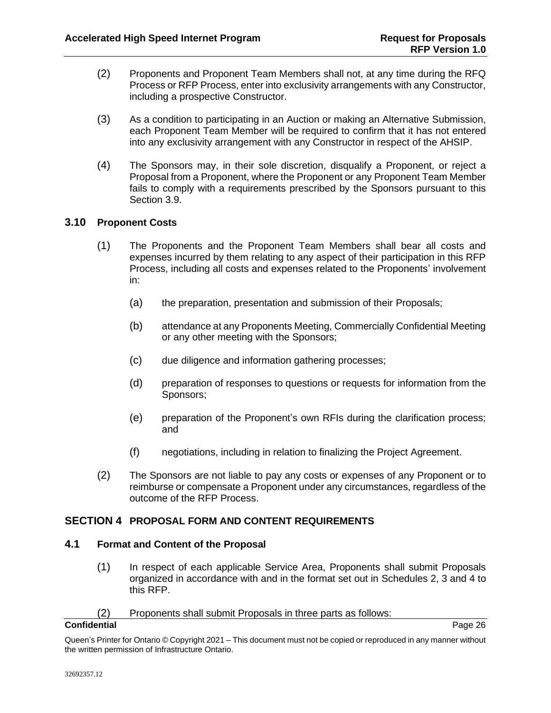- (2) Proponents and Proponent Team Members shall not, at any time during the RFQ Process or RFP Process, enter into exclusivity arrangements with any Constructor, including a prospective Constructor.
- (3) As a condition to participating in an Auction or making an Alternative Submission, each Proponent Team Member will be required to confirm that it has not entered into any exclusivity arrangement with any Constructor in respect of the AHSIP.
- (4) The Sponsors may, in their sole discretion, disqualify a Proponent, or reject a Proposal from a Proponent, where the Proponent or any Proponent Team Member fails to comply with a requirements prescribed by the Sponsors pursuant to this Section [3.9.](#page-28-0)

# <span id="page-29-0"></span>**3.10 Proponent Costs**

- (1) The Proponents and the Proponent Team Members shall bear all costs and expenses incurred by them relating to any aspect of their participation in this RFP Process, including all costs and expenses related to the Proponents' involvement in:
	- (a) the preparation, presentation and submission of their Proposals;
	- (b) attendance at any Proponents Meeting, Commercially Confidential Meeting or any other meeting with the Sponsors;
	- (c) due diligence and information gathering processes;
	- (d) preparation of responses to questions or requests for information from the Sponsors;
	- (e) preparation of the Proponent's own RFIs during the clarification process; and
	- (f) negotiations, including in relation to finalizing the Project Agreement.
- (2) The Sponsors are not liable to pay any costs or expenses of any Proponent or to reimburse or compensate a Proponent under any circumstances, regardless of the outcome of the RFP Process.

# <span id="page-29-1"></span>**SECTION 4 PROPOSAL FORM AND CONTENT REQUIREMENTS**

# <span id="page-29-2"></span>**4.1 Format and Content of the Proposal**

(1) In respect of each applicable Service Area, Proponents shall submit Proposals organized in accordance with and in the format set out in Schedules 2, 3 and 4 to this RFP.

# (2) Proponents shall submit Proposals in three parts as follows:

### **Confidential** Page 26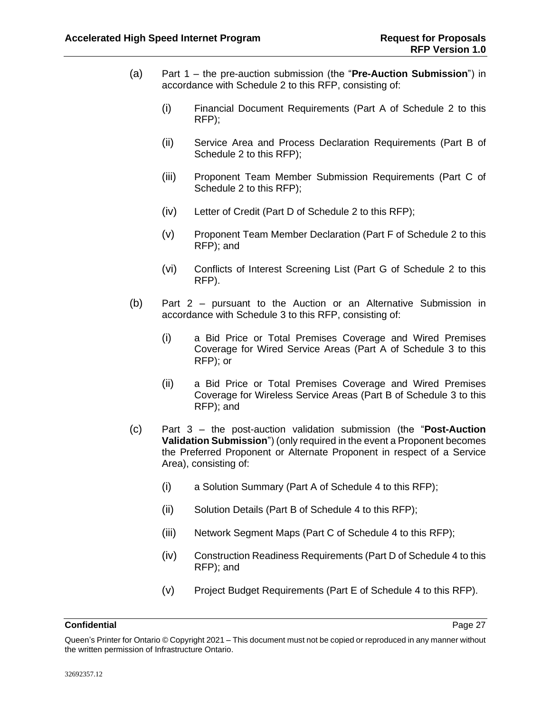- <span id="page-30-1"></span>(a) Part 1 – the pre-auction submission (the "**Pre-Auction Submission**") in accordance with Schedule 2 to this RFP, consisting of:
	- (i) Financial Document Requirements (Part A of Schedule 2 to this RFP);
	- (ii) Service Area and Process Declaration Requirements (Part B of Schedule 2 to this RFP);
	- (iii) Proponent Team Member Submission Requirements (Part C of Schedule 2 to this RFP);
	- (iv) Letter of Credit (Part D of Schedule 2 to this RFP);
	- (v) Proponent Team Member Declaration (Part F of Schedule 2 to this RFP); and
	- (vi) Conflicts of Interest Screening List (Part G of Schedule 2 to this RFP).
- (b) Part 2 pursuant to the Auction or an Alternative Submission in accordance with Schedule 3 to this RFP, consisting of:
	- (i) a Bid Price or Total Premises Coverage and Wired Premises Coverage for Wired Service Areas (Part A of Schedule 3 to this RFP); or
	- (ii) a Bid Price or Total Premises Coverage and Wired Premises Coverage for Wireless Service Areas (Part B of Schedule 3 to this RFP); and
- <span id="page-30-0"></span>(c) Part 3 – the post-auction validation submission (the "**Post-Auction Validation Submission**") (only required in the event a Proponent becomes the Preferred Proponent or Alternate Proponent in respect of a Service Area), consisting of:
	- (i) a Solution Summary (Part A of Schedule 4 to this RFP);
	- (ii) Solution Details (Part B of Schedule 4 to this RFP);
	- (iii) Network Segment Maps (Part C of Schedule 4 to this RFP);
	- (iv) Construction Readiness Requirements (Part D of Schedule 4 to this RFP); and
	- (v) Project Budget Requirements (Part E of Schedule 4 to this RFP).

Queen's Printer for Ontario © Copyright 2021 – This document must not be copied or reproduced in any manner without the written permission of Infrastructure Ontario.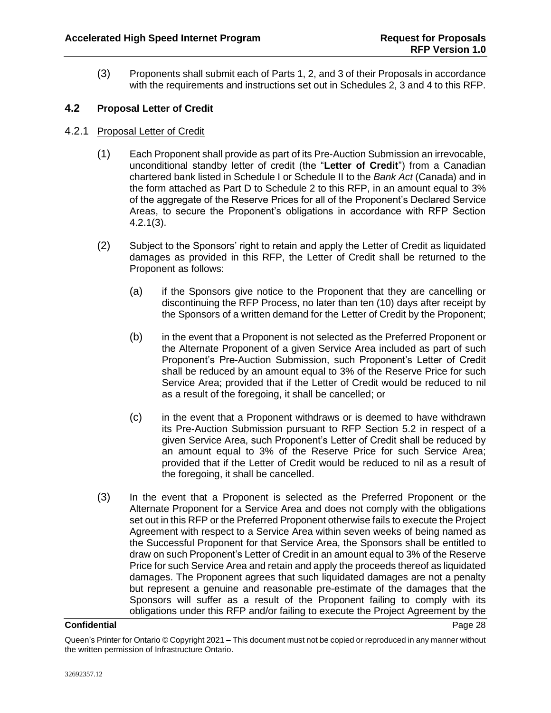(3) Proponents shall submit each of Parts 1, 2, and 3 of their Proposals in accordance with the requirements and instructions set out in Schedules 2, 3 and 4 to this RFP.

# <span id="page-31-0"></span>**4.2 Proposal Letter of Credit**

- <span id="page-31-2"></span>4.2.1 Proposal Letter of Credit
	- (1) Each Proponent shall provide as part of its Pre-Auction Submission an irrevocable, unconditional standby letter of credit (the "**Letter of Credit**") from a Canadian chartered bank listed in Schedule I or Schedule II to the *Bank Act* (Canada) and in the form attached as Part D to Schedule 2 to this RFP, in an amount equal to 3% of the aggregate of the Reserve Prices for all of the Proponent's Declared Service Areas, to secure the Proponent's obligations in accordance with RFP Section [4.2.1\(3\).](#page-31-1)
	- (2) Subject to the Sponsors' right to retain and apply the Letter of Credit as liquidated damages as provided in this RFP, the Letter of Credit shall be returned to the Proponent as follows:
		- (a) if the Sponsors give notice to the Proponent that they are cancelling or discontinuing the RFP Process, no later than ten (10) days after receipt by the Sponsors of a written demand for the Letter of Credit by the Proponent;
		- (b) in the event that a Proponent is not selected as the Preferred Proponent or the Alternate Proponent of a given Service Area included as part of such Proponent's Pre-Auction Submission, such Proponent's Letter of Credit shall be reduced by an amount equal to 3% of the Reserve Price for such Service Area; provided that if the Letter of Credit would be reduced to nil as a result of the foregoing, it shall be cancelled; or
		- (c) in the event that a Proponent withdraws or is deemed to have withdrawn its Pre-Auction Submission pursuant to RFP Section [5.2](#page-34-0) in respect of a given Service Area, such Proponent's Letter of Credit shall be reduced by an amount equal to 3% of the Reserve Price for such Service Area; provided that if the Letter of Credit would be reduced to nil as a result of the foregoing, it shall be cancelled.
	- (3) In the event that a Proponent is selected as the Preferred Proponent or the Alternate Proponent for a Service Area and does not comply with the obligations set out in this RFP or the Preferred Proponent otherwise fails to execute the Project Agreement with respect to a Service Area within seven weeks of being named as the Successful Proponent for that Service Area, the Sponsors shall be entitled to draw on such Proponent's Letter of Credit in an amount equal to 3% of the Reserve Price for such Service Area and retain and apply the proceeds thereof as liquidated damages. The Proponent agrees that such liquidated damages are not a penalty but represent a genuine and reasonable pre-estimate of the damages that the Sponsors will suffer as a result of the Proponent failing to comply with its obligations under this RFP and/or failing to execute the Project Agreement by the

<span id="page-31-1"></span>Queen's Printer for Ontario © Copyright 2021 – This document must not be copied or reproduced in any manner without the written permission of Infrastructure Ontario.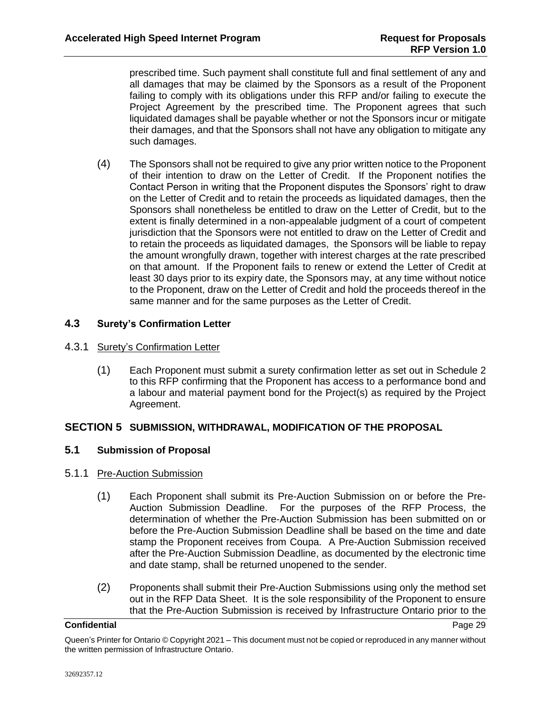prescribed time. Such payment shall constitute full and final settlement of any and all damages that may be claimed by the Sponsors as a result of the Proponent failing to comply with its obligations under this RFP and/or failing to execute the Project Agreement by the prescribed time. The Proponent agrees that such liquidated damages shall be payable whether or not the Sponsors incur or mitigate their damages, and that the Sponsors shall not have any obligation to mitigate any such damages.

(4) The Sponsors shall not be required to give any prior written notice to the Proponent of their intention to draw on the Letter of Credit. If the Proponent notifies the Contact Person in writing that the Proponent disputes the Sponsors' right to draw on the Letter of Credit and to retain the proceeds as liquidated damages, then the Sponsors shall nonetheless be entitled to draw on the Letter of Credit, but to the extent is finally determined in a non-appealable judgment of a court of competent jurisdiction that the Sponsors were not entitled to draw on the Letter of Credit and to retain the proceeds as liquidated damages, the Sponsors will be liable to repay the amount wrongfully drawn, together with interest charges at the rate prescribed on that amount. If the Proponent fails to renew or extend the Letter of Credit at least 30 days prior to its expiry date, the Sponsors may, at any time without notice to the Proponent, draw on the Letter of Credit and hold the proceeds thereof in the same manner and for the same purposes as the Letter of Credit.

# <span id="page-32-0"></span>**4.3 Surety's Confirmation Letter**

- 4.3.1 Surety's Confirmation Letter
	- (1) Each Proponent must submit a surety confirmation letter as set out in Schedule 2 to this RFP confirming that the Proponent has access to a performance bond and a labour and material payment bond for the Project(s) as required by the Project Agreement.

# <span id="page-32-1"></span>**SECTION 5 SUBMISSION, WITHDRAWAL, MODIFICATION OF THE PROPOSAL**

# <span id="page-32-2"></span>**5.1 Submission of Proposal**

# 5.1.1 Pre-Auction Submission

- (1) Each Proponent shall submit its Pre-Auction Submission on or before the Pre-Auction Submission Deadline. For the purposes of the RFP Process, the determination of whether the Pre-Auction Submission has been submitted on or before the Pre-Auction Submission Deadline shall be based on the time and date stamp the Proponent receives from Coupa. A Pre-Auction Submission received after the Pre-Auction Submission Deadline, as documented by the electronic time and date stamp, shall be returned unopened to the sender.
- (2) Proponents shall submit their Pre-Auction Submissions using only the method set out in the RFP Data Sheet. It is the sole responsibility of the Proponent to ensure that the Pre-Auction Submission is received by Infrastructure Ontario prior to the

Queen's Printer for Ontario © Copyright 2021 – This document must not be copied or reproduced in any manner without the written permission of Infrastructure Ontario.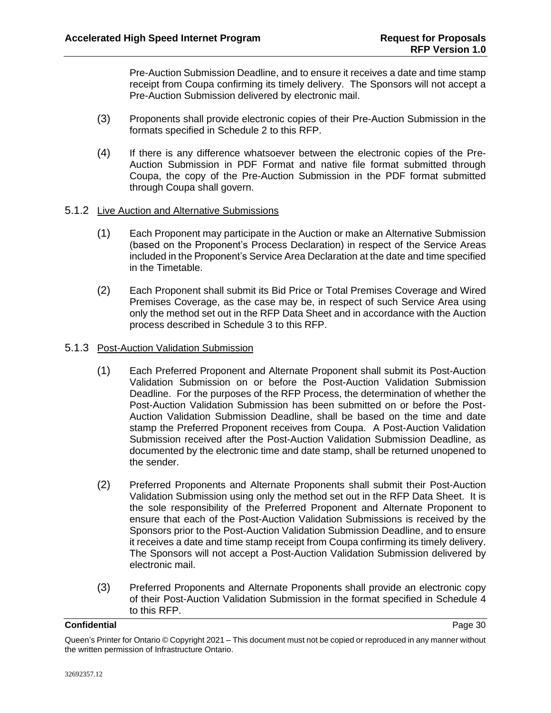Pre-Auction Submission Deadline, and to ensure it receives a date and time stamp receipt from Coupa confirming its timely delivery. The Sponsors will not accept a Pre-Auction Submission delivered by electronic mail.

- (3) Proponents shall provide electronic copies of their Pre-Auction Submission in the formats specified in Schedule 2 to this RFP.
- (4) If there is any difference whatsoever between the electronic copies of the Pre-Auction Submission in PDF Format and native file format submitted through Coupa, the copy of the Pre-Auction Submission in the PDF format submitted through Coupa shall govern.

# 5.1.2 Live Auction and Alternative Submissions

- (1) Each Proponent may participate in the Auction or make an Alternative Submission (based on the Proponent's Process Declaration) in respect of the Service Areas included in the Proponent's Service Area Declaration at the date and time specified in the Timetable.
- (2) Each Proponent shall submit its Bid Price or Total Premises Coverage and Wired Premises Coverage, as the case may be, in respect of such Service Area using only the method set out in the RFP Data Sheet and in accordance with the Auction process described in Schedule 3 to this RFP.

# <span id="page-33-0"></span>5.1.3 Post-Auction Validation Submission

- (1) Each Preferred Proponent and Alternate Proponent shall submit its Post-Auction Validation Submission on or before the Post-Auction Validation Submission Deadline. For the purposes of the RFP Process, the determination of whether the Post-Auction Validation Submission has been submitted on or before the Post-Auction Validation Submission Deadline, shall be based on the time and date stamp the Preferred Proponent receives from Coupa. A Post-Auction Validation Submission received after the Post-Auction Validation Submission Deadline, as documented by the electronic time and date stamp, shall be returned unopened to the sender.
- (2) Preferred Proponents and Alternate Proponents shall submit their Post-Auction Validation Submission using only the method set out in the RFP Data Sheet. It is the sole responsibility of the Preferred Proponent and Alternate Proponent to ensure that each of the Post-Auction Validation Submissions is received by the Sponsors prior to the Post-Auction Validation Submission Deadline, and to ensure it receives a date and time stamp receipt from Coupa confirming its timely delivery. The Sponsors will not accept a Post-Auction Validation Submission delivered by electronic mail.
- (3) Preferred Proponents and Alternate Proponents shall provide an electronic copy of their Post-Auction Validation Submission in the format specified in Schedule 4 to this RFP.

Queen's Printer for Ontario © Copyright 2021 – This document must not be copied or reproduced in any manner without the written permission of Infrastructure Ontario.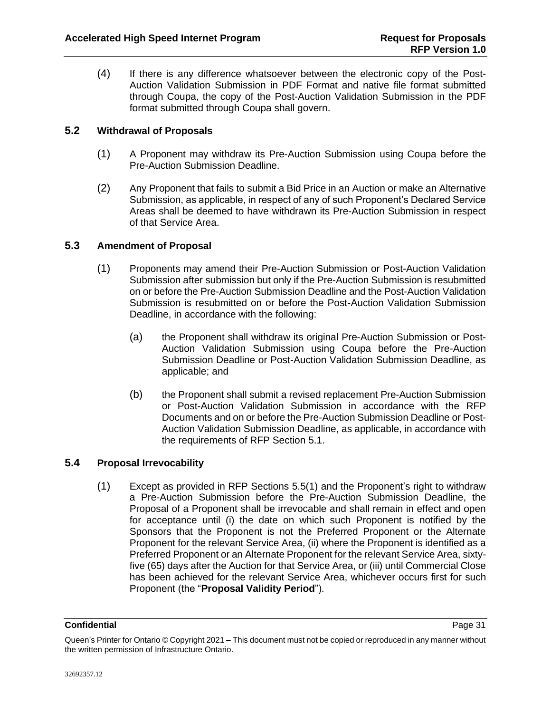(4) If there is any difference whatsoever between the electronic copy of the Post-Auction Validation Submission in PDF Format and native file format submitted through Coupa, the copy of the Post-Auction Validation Submission in the PDF format submitted through Coupa shall govern.

# <span id="page-34-0"></span>**5.2 Withdrawal of Proposals**

- (1) A Proponent may withdraw its Pre-Auction Submission using Coupa before the Pre-Auction Submission Deadline.
- (2) Any Proponent that fails to submit a Bid Price in an Auction or make an Alternative Submission, as applicable, in respect of any of such Proponent's Declared Service Areas shall be deemed to have withdrawn its Pre-Auction Submission in respect of that Service Area.

# <span id="page-34-1"></span>**5.3 Amendment of Proposal**

- (1) Proponents may amend their Pre-Auction Submission or Post-Auction Validation Submission after submission but only if the Pre-Auction Submission is resubmitted on or before the Pre-Auction Submission Deadline and the Post-Auction Validation Submission is resubmitted on or before the Post-Auction Validation Submission Deadline, in accordance with the following:
	- (a) the Proponent shall withdraw its original Pre-Auction Submission or Post-Auction Validation Submission using Coupa before the Pre-Auction Submission Deadline or Post-Auction Validation Submission Deadline, as applicable; and
	- (b) the Proponent shall submit a revised replacement Pre-Auction Submission or Post-Auction Validation Submission in accordance with the RFP Documents and on or before the Pre-Auction Submission Deadline or Post-Auction Validation Submission Deadline, as applicable, in accordance with the requirements of RFP Section [5.1.](#page-32-2)

# <span id="page-34-3"></span><span id="page-34-2"></span>**5.4 Proposal Irrevocability**

(1) Except as provided in RFP Sections [5.5\(1\)](#page-35-3) and the Proponent's right to withdraw a Pre-Auction Submission before the Pre-Auction Submission Deadline, the Proposal of a Proponent shall be irrevocable and shall remain in effect and open for acceptance until (i) the date on which such Proponent is notified by the Sponsors that the Proponent is not the Preferred Proponent or the Alternate Proponent for the relevant Service Area, (ii) where the Proponent is identified as a Preferred Proponent or an Alternate Proponent for the relevant Service Area, sixtyfive (65) days after the Auction for that Service Area, or (iii) until Commercial Close has been achieved for the relevant Service Area, whichever occurs first for such Proponent (the "**Proposal Validity Period**").

Queen's Printer for Ontario © Copyright 2021 – This document must not be copied or reproduced in any manner without the written permission of Infrastructure Ontario.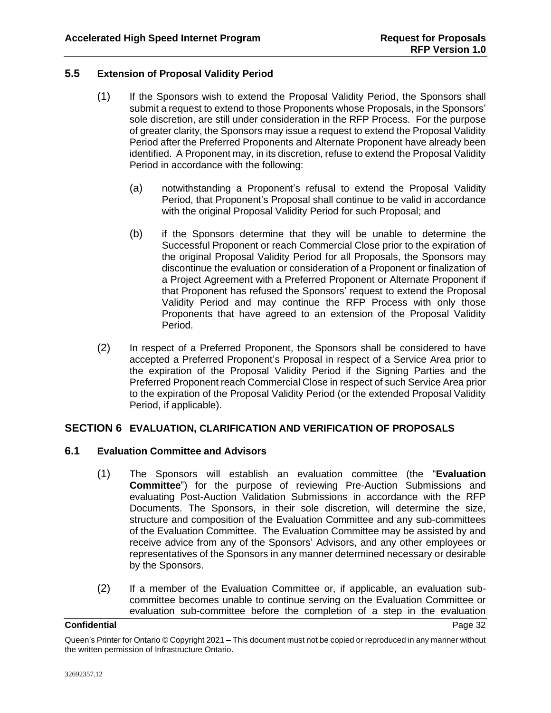# <span id="page-35-3"></span><span id="page-35-0"></span>**5.5 Extension of Proposal Validity Period**

- (1) If the Sponsors wish to extend the Proposal Validity Period, the Sponsors shall submit a request to extend to those Proponents whose Proposals, in the Sponsors' sole discretion, are still under consideration in the RFP Process. For the purpose of greater clarity, the Sponsors may issue a request to extend the Proposal Validity Period after the Preferred Proponents and Alternate Proponent have already been identified. A Proponent may, in its discretion, refuse to extend the Proposal Validity Period in accordance with the following:
	- (a) notwithstanding a Proponent's refusal to extend the Proposal Validity Period, that Proponent's Proposal shall continue to be valid in accordance with the original Proposal Validity Period for such Proposal; and
	- (b) if the Sponsors determine that they will be unable to determine the Successful Proponent or reach Commercial Close prior to the expiration of the original Proposal Validity Period for all Proposals, the Sponsors may discontinue the evaluation or consideration of a Proponent or finalization of a Project Agreement with a Preferred Proponent or Alternate Proponent if that Proponent has refused the Sponsors' request to extend the Proposal Validity Period and may continue the RFP Process with only those Proponents that have agreed to an extension of the Proposal Validity Period.
- (2) In respect of a Preferred Proponent, the Sponsors shall be considered to have accepted a Preferred Proponent's Proposal in respect of a Service Area prior to the expiration of the Proposal Validity Period if the Signing Parties and the Preferred Proponent reach Commercial Close in respect of such Service Area prior to the expiration of the Proposal Validity Period (or the extended Proposal Validity Period, if applicable).

# <span id="page-35-1"></span>**SECTION 6 EVALUATION, CLARIFICATION AND VERIFICATION OF PROPOSALS**

# <span id="page-35-2"></span>**6.1 Evaluation Committee and Advisors**

- (1) The Sponsors will establish an evaluation committee (the "**Evaluation Committee**") for the purpose of reviewing Pre-Auction Submissions and evaluating Post-Auction Validation Submissions in accordance with the RFP Documents. The Sponsors, in their sole discretion, will determine the size, structure and composition of the Evaluation Committee and any sub-committees of the Evaluation Committee. The Evaluation Committee may be assisted by and receive advice from any of the Sponsors' Advisors, and any other employees or representatives of the Sponsors in any manner determined necessary or desirable by the Sponsors.
- (2) If a member of the Evaluation Committee or, if applicable, an evaluation subcommittee becomes unable to continue serving on the Evaluation Committee or evaluation sub-committee before the completion of a step in the evaluation

Queen's Printer for Ontario © Copyright 2021 – This document must not be copied or reproduced in any manner without the written permission of Infrastructure Ontario.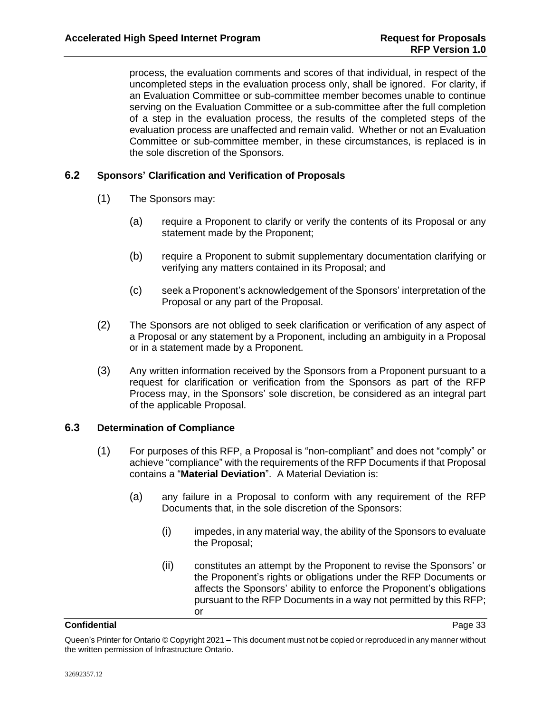process, the evaluation comments and scores of that individual, in respect of the uncompleted steps in the evaluation process only, shall be ignored. For clarity, if an Evaluation Committee or sub-committee member becomes unable to continue serving on the Evaluation Committee or a sub-committee after the full completion of a step in the evaluation process, the results of the completed steps of the evaluation process are unaffected and remain valid. Whether or not an Evaluation Committee or sub-committee member, in these circumstances, is replaced is in the sole discretion of the Sponsors.

# <span id="page-36-0"></span>**6.2 Sponsors' Clarification and Verification of Proposals**

- (1) The Sponsors may:
	- (a) require a Proponent to clarify or verify the contents of its Proposal or any statement made by the Proponent;
	- (b) require a Proponent to submit supplementary documentation clarifying or verifying any matters contained in its Proposal; and
	- (c) seek a Proponent's acknowledgement of the Sponsors' interpretation of the Proposal or any part of the Proposal.
- (2) The Sponsors are not obliged to seek clarification or verification of any aspect of a Proposal or any statement by a Proponent, including an ambiguity in a Proposal or in a statement made by a Proponent.
- (3) Any written information received by the Sponsors from a Proponent pursuant to a request for clarification or verification from the Sponsors as part of the RFP Process may, in the Sponsors' sole discretion, be considered as an integral part of the applicable Proposal.

# <span id="page-36-2"></span><span id="page-36-1"></span>**6.3 Determination of Compliance**

- (1) For purposes of this RFP, a Proposal is "non-compliant" and does not "comply" or achieve "compliance" with the requirements of the RFP Documents if that Proposal contains a "**Material Deviation**". A Material Deviation is:
	- (a) any failure in a Proposal to conform with any requirement of the RFP Documents that, in the sole discretion of the Sponsors:
		- (i) impedes, in any material way, the ability of the Sponsors to evaluate the Proposal;
		- (ii) constitutes an attempt by the Proponent to revise the Sponsors' or the Proponent's rights or obligations under the RFP Documents or affects the Sponsors' ability to enforce the Proponent's obligations pursuant to the RFP Documents in a way not permitted by this RFP; or

Queen's Printer for Ontario © Copyright 2021 – This document must not be copied or reproduced in any manner without the written permission of Infrastructure Ontario.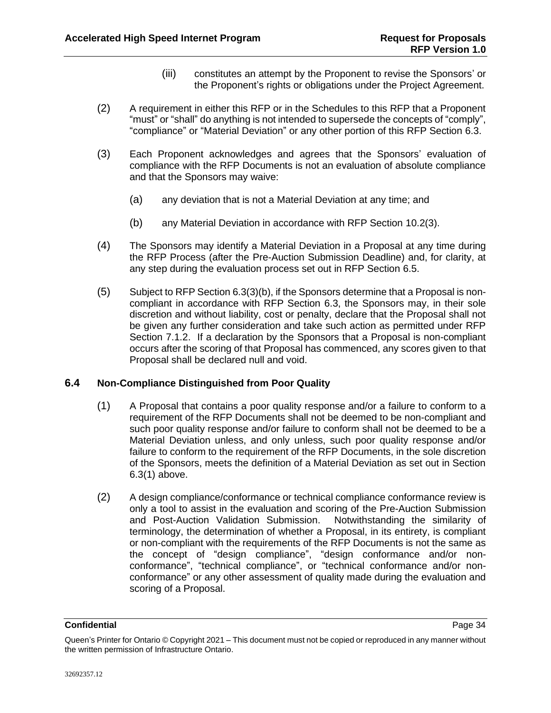- (iii) constitutes an attempt by the Proponent to revise the Sponsors' or the Proponent's rights or obligations under the Project Agreement.
- (2) A requirement in either this RFP or in the Schedules to this RFP that a Proponent "must" or "shall" do anything is not intended to supersede the concepts of "comply", "compliance" or "Material Deviation" or any other portion of this RFP Section [6.3.](#page-36-1)
- (3) Each Proponent acknowledges and agrees that the Sponsors' evaluation of compliance with the RFP Documents is not an evaluation of absolute compliance and that the Sponsors may waive:
	- (a) any deviation that is not a Material Deviation at any time; and
	- (b) any Material Deviation in accordance with RFP Section [10.2\(3\).](#page-46-2)
- <span id="page-37-1"></span>(4) The Sponsors may identify a Material Deviation in a Proposal at any time during the RFP Process (after the Pre-Auction Submission Deadline) and, for clarity, at any step during the evaluation process set out in RFP Section [6.5.](#page-38-0)
- <span id="page-37-2"></span>(5) Subject to RFP Sectio[n 6.3\(3\)\(b\),](#page-37-1) if the Sponsors determine that a Proposal is noncompliant in accordance with RFP Section [6.3,](#page-36-1) the Sponsors may, in their sole discretion and without liability, cost or penalty, declare that the Proposal shall not be given any further consideration and take such action as permitted under RFP Section [7.1.2.](#page-40-0) If a declaration by the Sponsors that a Proposal is non-compliant occurs after the scoring of that Proposal has commenced, any scores given to that Proposal shall be declared null and void.

# <span id="page-37-0"></span>**6.4 Non-Compliance Distinguished from Poor Quality**

- (1) A Proposal that contains a poor quality response and/or a failure to conform to a requirement of the RFP Documents shall not be deemed to be non-compliant and such poor quality response and/or failure to conform shall not be deemed to be a Material Deviation unless, and only unless, such poor quality response and/or failure to conform to the requirement of the RFP Documents, in the sole discretion of the Sponsors, meets the definition of a Material Deviation as set out in Section [6.3\(1\)](#page-36-2) above.
- (2) A design compliance/conformance or technical compliance conformance review is only a tool to assist in the evaluation and scoring of the Pre-Auction Submission and Post-Auction Validation Submission. Notwithstanding the similarity of terminology, the determination of whether a Proposal, in its entirety, is compliant or non-compliant with the requirements of the RFP Documents is not the same as the concept of "design compliance", "design conformance and/or nonconformance", "technical compliance", or "technical conformance and/or nonconformance" or any other assessment of quality made during the evaluation and scoring of a Proposal.

Queen's Printer for Ontario © Copyright 2021 – This document must not be copied or reproduced in any manner without the written permission of Infrastructure Ontario.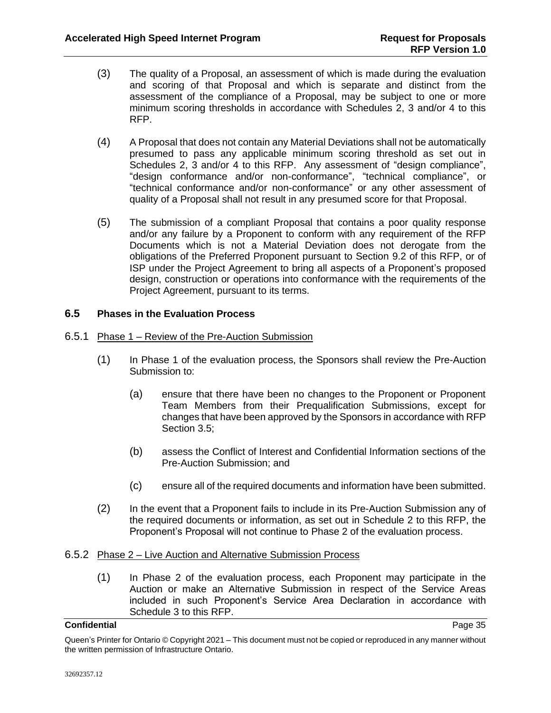- (3) The quality of a Proposal, an assessment of which is made during the evaluation and scoring of that Proposal and which is separate and distinct from the assessment of the compliance of a Proposal, may be subject to one or more minimum scoring thresholds in accordance with Schedules 2, 3 and/or 4 to this RFP.
- (4) A Proposal that does not contain any Material Deviations shall not be automatically presumed to pass any applicable minimum scoring threshold as set out in Schedules 2, 3 and/or 4 to this RFP. Any assessment of "design compliance", "design conformance and/or non-conformance", "technical compliance", or "technical conformance and/or non-conformance" or any other assessment of quality of a Proposal shall not result in any presumed score for that Proposal.
- (5) The submission of a compliant Proposal that contains a poor quality response and/or any failure by a Proponent to conform with any requirement of the RFP Documents which is not a Material Deviation does not derogate from the obligations of the Preferred Proponent pursuant to Section [9.2](#page-42-5) of this RFP, or of ISP under the Project Agreement to bring all aspects of a Proponent's proposed design, construction or operations into conformance with the requirements of the Project Agreement, pursuant to its terms.

# <span id="page-38-0"></span>**6.5 Phases in the Evaluation Process**

### 6.5.1 Phase 1 – Review of the Pre-Auction Submission

- (1) In Phase 1 of the evaluation process, the Sponsors shall review the Pre-Auction Submission to:
	- (a) ensure that there have been no changes to the Proponent or Proponent Team Members from their Prequalification Submissions, except for changes that have been approved by the Sponsors in accordance with RFP Section [3.5;](#page-18-0)
	- (b) assess the Conflict of Interest and Confidential Information sections of the Pre-Auction Submission; and
	- (c) ensure all of the required documents and information have been submitted.
- (2) In the event that a Proponent fails to include in its Pre-Auction Submission any of the required documents or information, as set out in Schedule 2 to this RFP, the Proponent's Proposal will not continue to Phase 2 of the evaluation process.

# 6.5.2 Phase 2 – Live Auction and Alternative Submission Process

(1) In Phase 2 of the evaluation process, each Proponent may participate in the Auction or make an Alternative Submission in respect of the Service Areas included in such Proponent's Service Area Declaration in accordance with Schedule 3 to this RFP.

Queen's Printer for Ontario © Copyright 2021 – This document must not be copied or reproduced in any manner without the written permission of Infrastructure Ontario.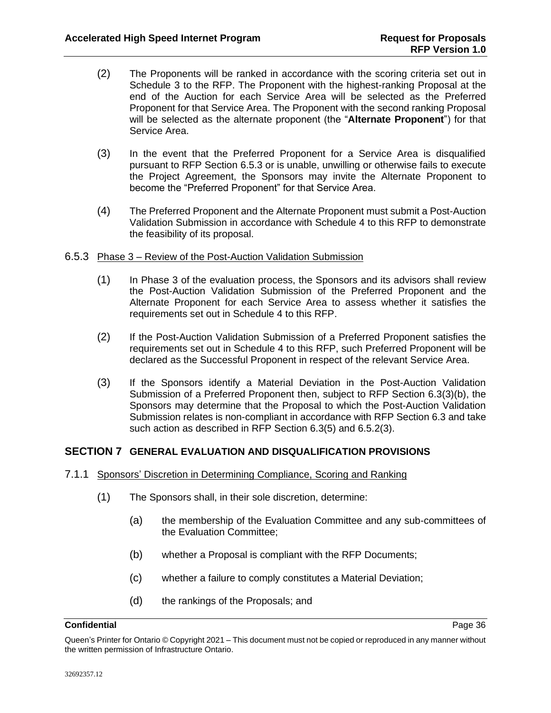- <span id="page-39-3"></span>(2) The Proponents will be ranked in accordance with the scoring criteria set out in Schedule 3 to the RFP. The Proponent with the highest-ranking Proposal at the end of the Auction for each Service Area will be selected as the Preferred Proponent for that Service Area. The Proponent with the second ranking Proposal will be selected as the alternate proponent (the "**Alternate Proponent**") for that Service Area.
- <span id="page-39-2"></span>(3) In the event that the Preferred Proponent for a Service Area is disqualified pursuant to RFP Section [6.5.3](#page-39-1) or is unable, unwilling or otherwise fails to execute the Project Agreement, the Sponsors may invite the Alternate Proponent to become the "Preferred Proponent" for that Service Area.
- (4) The Preferred Proponent and the Alternate Proponent must submit a Post-Auction Validation Submission in accordance with Schedule 4 to this RFP to demonstrate the feasibility of its proposal.

# <span id="page-39-1"></span>6.5.3 Phase 3 – Review of the Post-Auction Validation Submission

- (1) In Phase 3 of the evaluation process, the Sponsors and its advisors shall review the Post-Auction Validation Submission of the Preferred Proponent and the Alternate Proponent for each Service Area to assess whether it satisfies the requirements set out in Schedule 4 to this RFP.
- <span id="page-39-4"></span>(2) If the Post-Auction Validation Submission of a Preferred Proponent satisfies the requirements set out in Schedule 4 to this RFP, such Preferred Proponent will be declared as the Successful Proponent in respect of the relevant Service Area.
- (3) If the Sponsors identify a Material Deviation in the Post-Auction Validation Submission of a Preferred Proponent then, subject to RFP Section [6.3\(3\)\(b\),](#page-37-1) the Sponsors may determine that the Proposal to which the Post-Auction Validation Submission relates is non-compliant in accordance with RFP Section [6.3](#page-36-1) and take such action as described in RFP Section [6.3\(5\)](#page-37-2) and [6.5.2\(3\).](#page-39-2)

# <span id="page-39-0"></span>**SECTION 7 GENERAL EVALUATION AND DISQUALIFICATION PROVISIONS**

- 7.1.1 Sponsors' Discretion in Determining Compliance, Scoring and Ranking
	- (1) The Sponsors shall, in their sole discretion, determine:
		- (a) the membership of the Evaluation Committee and any sub-committees of the Evaluation Committee;
		- (b) whether a Proposal is compliant with the RFP Documents;
		- (c) whether a failure to comply constitutes a Material Deviation;
		- (d) the rankings of the Proposals; and

Queen's Printer for Ontario © Copyright 2021 – This document must not be copied or reproduced in any manner without the written permission of Infrastructure Ontario.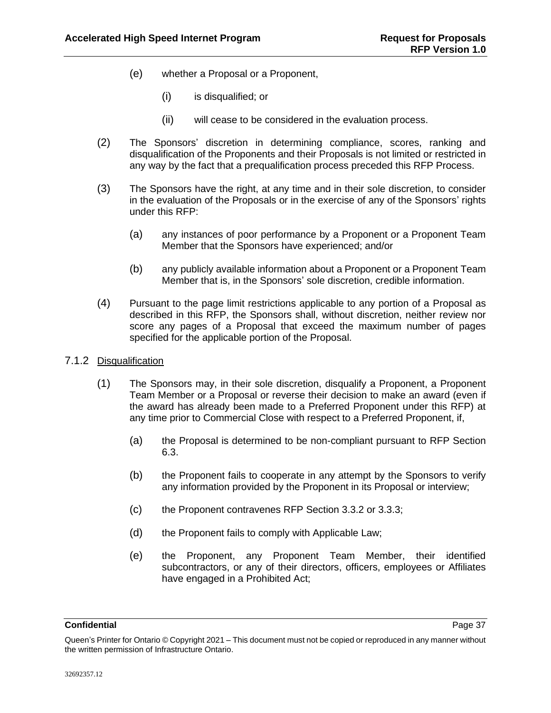- (e) whether a Proposal or a Proponent,
	- (i) is disqualified; or
	- (ii) will cease to be considered in the evaluation process.
- (2) The Sponsors' discretion in determining compliance, scores, ranking and disqualification of the Proponents and their Proposals is not limited or restricted in any way by the fact that a prequalification process preceded this RFP Process.
- (3) The Sponsors have the right, at any time and in their sole discretion, to consider in the evaluation of the Proposals or in the exercise of any of the Sponsors' rights under this RFP:
	- (a) any instances of poor performance by a Proponent or a Proponent Team Member that the Sponsors have experienced; and/or
	- (b) any publicly available information about a Proponent or a Proponent Team Member that is, in the Sponsors' sole discretion, credible information.
- (4) Pursuant to the page limit restrictions applicable to any portion of a Proposal as described in this RFP, the Sponsors shall, without discretion, neither review nor score any pages of a Proposal that exceed the maximum number of pages specified for the applicable portion of the Proposal.
- <span id="page-40-0"></span>7.1.2 Disqualification
	- (1) The Sponsors may, in their sole discretion, disqualify a Proponent, a Proponent Team Member or a Proposal or reverse their decision to make an award (even if the award has already been made to a Preferred Proponent under this RFP) at any time prior to Commercial Close with respect to a Preferred Proponent, if,
		- (a) the Proposal is determined to be non-compliant pursuant to RFP Section [6.3.](#page-36-1)
		- (b) the Proponent fails to cooperate in any attempt by the Sponsors to verify any information provided by the Proponent in its Proposal or interview;
		- (c) the Proponent contravenes RFP Section [3.3.2](#page-14-1) or [3.3.3;](#page-15-4)
		- (d) the Proponent fails to comply with Applicable Law;
		- (e) the Proponent, any Proponent Team Member, their identified subcontractors, or any of their directors, officers, employees or Affiliates have engaged in a Prohibited Act;

**Confidential** Page 37

Queen's Printer for Ontario © Copyright 2021 – This document must not be copied or reproduced in any manner without the written permission of Infrastructure Ontario.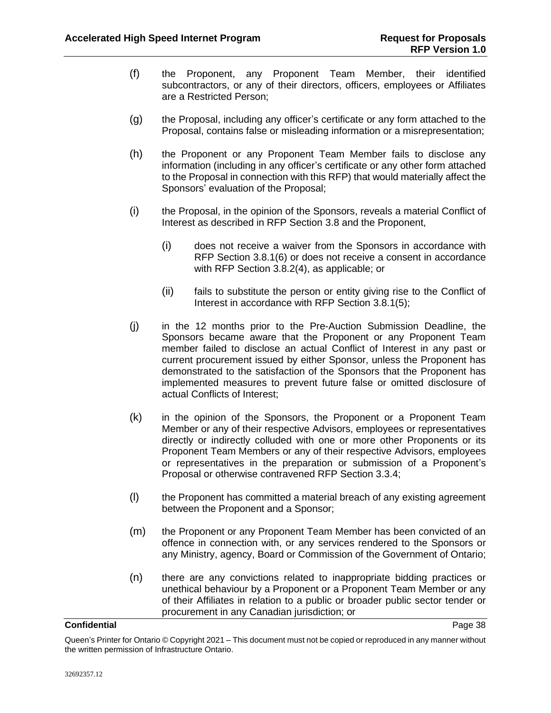- (f) the Proponent, any Proponent Team Member, their identified subcontractors, or any of their directors, officers, employees or Affiliates are a Restricted Person;
- (g) the Proposal, including any officer's certificate or any form attached to the Proposal, contains false or misleading information or a misrepresentation;
- (h) the Proponent or any Proponent Team Member fails to disclose any information (including in any officer's certificate or any other form attached to the Proposal in connection with this RFP) that would materially affect the Sponsors' evaluation of the Proposal;
- (i) the Proposal, in the opinion of the Sponsors, reveals a material Conflict of Interest as described in RFP Section [3.8](#page-26-0) and the Proponent,
	- (i) does not receive a waiver from the Sponsors in accordance with RFP Section [3.8.1\(6\)](#page-26-2) or does not receive a consent in accordance with RFP Section [3.8.2\(4\),](#page-28-2) as applicable; or
	- (ii) fails to substitute the person or entity giving rise to the Conflict of Interest in accordance with RFP Section [3.8.1\(5\);](#page-26-3)
- (j) in the 12 months prior to the Pre-Auction Submission Deadline, the Sponsors became aware that the Proponent or any Proponent Team member failed to disclose an actual Conflict of Interest in any past or current procurement issued by either Sponsor, unless the Proponent has demonstrated to the satisfaction of the Sponsors that the Proponent has implemented measures to prevent future false or omitted disclosure of actual Conflicts of Interest;
- (k) in the opinion of the Sponsors, the Proponent or a Proponent Team Member or any of their respective Advisors, employees or representatives directly or indirectly colluded with one or more other Proponents or its Proponent Team Members or any of their respective Advisors, employees or representatives in the preparation or submission of a Proponent's Proposal or otherwise contravened RFP Section [3.3.4;](#page-16-4)
- (l) the Proponent has committed a material breach of any existing agreement between the Proponent and a Sponsor;
- (m) the Proponent or any Proponent Team Member has been convicted of an offence in connection with, or any services rendered to the Sponsors or any Ministry, agency, Board or Commission of the Government of Ontario;
- (n) there are any convictions related to inappropriate bidding practices or unethical behaviour by a Proponent or a Proponent Team Member or any of their Affiliates in relation to a public or broader public sector tender or procurement in any Canadian jurisdiction; or

Queen's Printer for Ontario © Copyright 2021 – This document must not be copied or reproduced in any manner without the written permission of Infrastructure Ontario.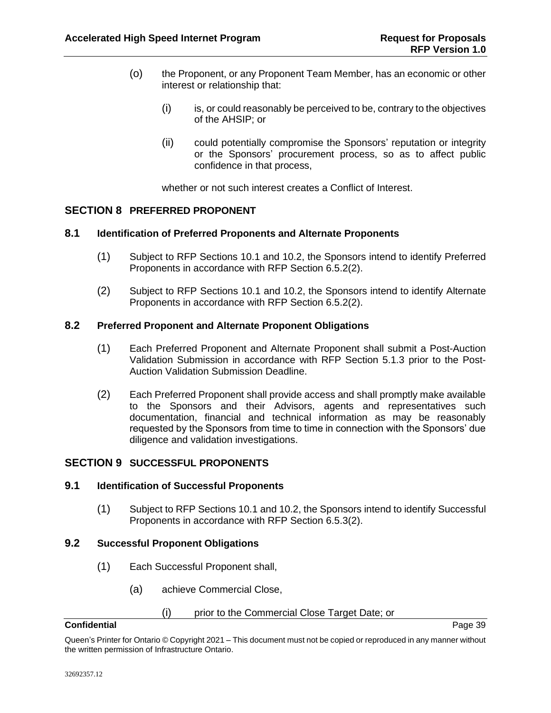- (o) the Proponent, or any Proponent Team Member, has an economic or other interest or relationship that:
	- (i) is, or could reasonably be perceived to be, contrary to the objectives of the AHSIP; or
	- (ii) could potentially compromise the Sponsors' reputation or integrity or the Sponsors' procurement process, so as to affect public confidence in that process,

whether or not such interest creates a Conflict of Interest.

# <span id="page-42-0"></span>**SECTION 8 PREFERRED PROPONENT**

# <span id="page-42-1"></span>**8.1 Identification of Preferred Proponents and Alternate Proponents**

- (1) Subject to RFP Sections [10.1](#page-44-2) and [10.2,](#page-46-0) the Sponsors intend to identify Preferred Proponents in accordance with RFP Section [6.5.2\(2\).](#page-39-3)
- (2) Subject to RFP Sections [10.1](#page-44-2) and [10.2,](#page-46-0) the Sponsors intend to identify Alternate Proponents in accordance with RFP Section [6.5.2\(2\).](#page-39-3)

### <span id="page-42-2"></span>**8.2 Preferred Proponent and Alternate Proponent Obligations**

- (1) Each Preferred Proponent and Alternate Proponent shall submit a Post-Auction Validation Submission in accordance with RFP Section [5.1.3](#page-33-0) prior to the Post-Auction Validation Submission Deadline.
- (2) Each Preferred Proponent shall provide access and shall promptly make available to the Sponsors and their Advisors, agents and representatives such documentation, financial and technical information as may be reasonably requested by the Sponsors from time to time in connection with the Sponsors' due diligence and validation investigations.

# <span id="page-42-3"></span>**SECTION 9 SUCCESSFUL PROPONENTS**

# <span id="page-42-4"></span>**9.1 Identification of Successful Proponents**

(1) Subject to RFP Sections [10.1](#page-44-2) and [10.2,](#page-46-0) the Sponsors intend to identify Successful Proponents in accordance with RFP Section [6.5.3\(2\).](#page-39-4)

#### <span id="page-42-5"></span>**9.2 Successful Proponent Obligations**

- (1) Each Successful Proponent shall,
	- (a) achieve Commercial Close,

#### (i) prior to the Commercial Close Target Date; or

#### **Confidential** Page 39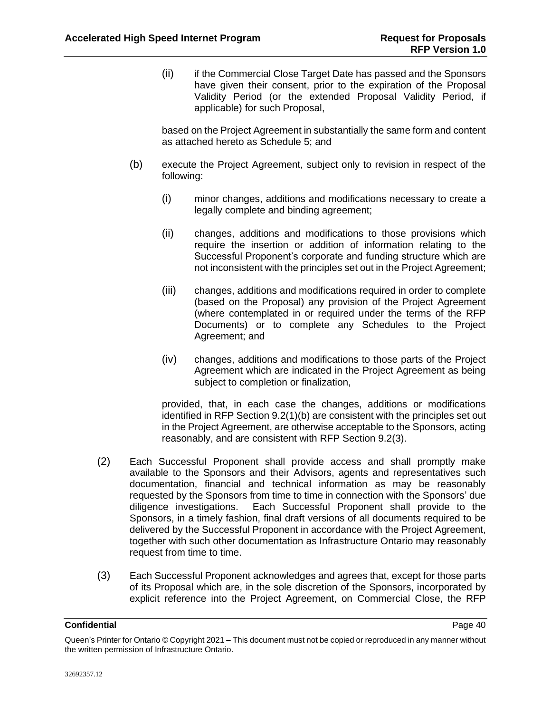(ii) if the Commercial Close Target Date has passed and the Sponsors have given their consent, prior to the expiration of the Proposal Validity Period (or the extended Proposal Validity Period, if applicable) for such Proposal,

based on the Project Agreement in substantially the same form and content as attached hereto as Schedule 5; and

- <span id="page-43-0"></span>(b) execute the Project Agreement, subject only to revision in respect of the following:
	- (i) minor changes, additions and modifications necessary to create a legally complete and binding agreement;
	- (ii) changes, additions and modifications to those provisions which require the insertion or addition of information relating to the Successful Proponent's corporate and funding structure which are not inconsistent with the principles set out in the Project Agreement;
	- (iii) changes, additions and modifications required in order to complete (based on the Proposal) any provision of the Project Agreement (where contemplated in or required under the terms of the RFP Documents) or to complete any Schedules to the Project Agreement; and
	- (iv) changes, additions and modifications to those parts of the Project Agreement which are indicated in the Project Agreement as being subject to completion or finalization,

provided, that, in each case the changes, additions or modifications identified in RFP Section [9.2\(1\)\(b\)](#page-43-0) are consistent with the principles set out in the Project Agreement, are otherwise acceptable to the Sponsors, acting reasonably, and are consistent with RFP Section [9.2\(3\).](#page-43-1)

- (2) Each Successful Proponent shall provide access and shall promptly make available to the Sponsors and their Advisors, agents and representatives such documentation, financial and technical information as may be reasonably requested by the Sponsors from time to time in connection with the Sponsors' due diligence investigations. Each Successful Proponent shall provide to the Sponsors, in a timely fashion, final draft versions of all documents required to be delivered by the Successful Proponent in accordance with the Project Agreement, together with such other documentation as Infrastructure Ontario may reasonably request from time to time.
- <span id="page-43-1"></span>(3) Each Successful Proponent acknowledges and agrees that, except for those parts of its Proposal which are, in the sole discretion of the Sponsors, incorporated by explicit reference into the Project Agreement, on Commercial Close, the RFP

Queen's Printer for Ontario © Copyright 2021 – This document must not be copied or reproduced in any manner without the written permission of Infrastructure Ontario.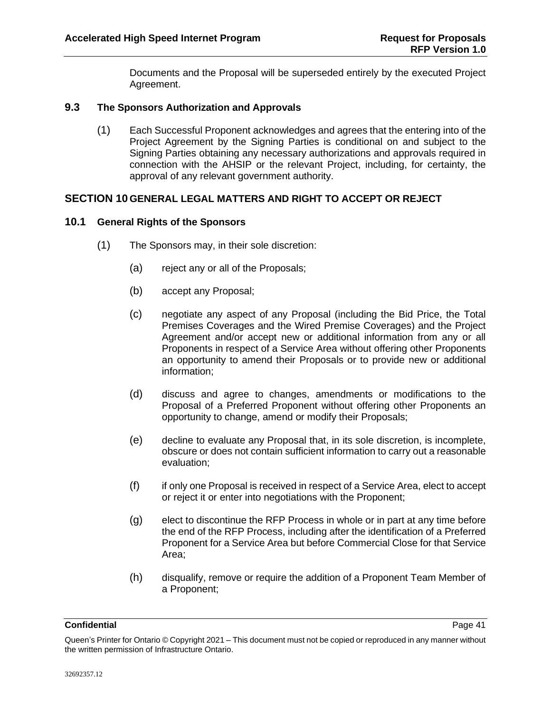Documents and the Proposal will be superseded entirely by the executed Project Agreement.

# <span id="page-44-0"></span>**9.3 The Sponsors Authorization and Approvals**

(1) Each Successful Proponent acknowledges and agrees that the entering into of the Project Agreement by the Signing Parties is conditional on and subject to the Signing Parties obtaining any necessary authorizations and approvals required in connection with the AHSIP or the relevant Project, including, for certainty, the approval of any relevant government authority.

# <span id="page-44-1"></span>**SECTION 10 GENERAL LEGAL MATTERS AND RIGHT TO ACCEPT OR REJECT**

# <span id="page-44-3"></span><span id="page-44-2"></span>**10.1 General Rights of the Sponsors**

- (1) The Sponsors may, in their sole discretion:
	- (a) reject any or all of the Proposals;
	- (b) accept any Proposal;
	- (c) negotiate any aspect of any Proposal (including the Bid Price, the Total Premises Coverages and the Wired Premise Coverages) and the Project Agreement and/or accept new or additional information from any or all Proponents in respect of a Service Area without offering other Proponents an opportunity to amend their Proposals or to provide new or additional information;
	- (d) discuss and agree to changes, amendments or modifications to the Proposal of a Preferred Proponent without offering other Proponents an opportunity to change, amend or modify their Proposals;
	- (e) decline to evaluate any Proposal that, in its sole discretion, is incomplete, obscure or does not contain sufficient information to carry out a reasonable evaluation;
	- (f) if only one Proposal is received in respect of a Service Area, elect to accept or reject it or enter into negotiations with the Proponent;
	- (g) elect to discontinue the RFP Process in whole or in part at any time before the end of the RFP Process, including after the identification of a Preferred Proponent for a Service Area but before Commercial Close for that Service Area;
	- (h) disqualify, remove or require the addition of a Proponent Team Member of a Proponent;

Queen's Printer for Ontario © Copyright 2021 – This document must not be copied or reproduced in any manner without the written permission of Infrastructure Ontario.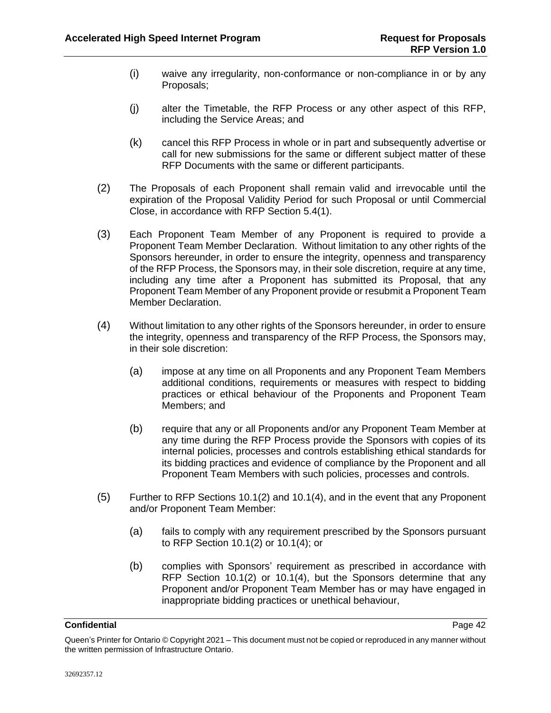- (i) waive any irregularity, non-conformance or non-compliance in or by any Proposals;
- (j) alter the Timetable, the RFP Process or any other aspect of this RFP, including the Service Areas; and
- (k) cancel this RFP Process in whole or in part and subsequently advertise or call for new submissions for the same or different subject matter of these RFP Documents with the same or different participants.
- <span id="page-45-0"></span>(2) The Proposals of each Proponent shall remain valid and irrevocable until the expiration of the Proposal Validity Period for such Proposal or until Commercial Close, in accordance with RFP Section [5.4\(1\).](#page-34-3)
- (3) Each Proponent Team Member of any Proponent is required to provide a Proponent Team Member Declaration. Without limitation to any other rights of the Sponsors hereunder, in order to ensure the integrity, openness and transparency of the RFP Process, the Sponsors may, in their sole discretion, require at any time, including any time after a Proponent has submitted its Proposal, that any Proponent Team Member of any Proponent provide or resubmit a Proponent Team Member Declaration.
- <span id="page-45-1"></span>(4) Without limitation to any other rights of the Sponsors hereunder, in order to ensure the integrity, openness and transparency of the RFP Process, the Sponsors may, in their sole discretion:
	- (a) impose at any time on all Proponents and any Proponent Team Members additional conditions, requirements or measures with respect to bidding practices or ethical behaviour of the Proponents and Proponent Team Members; and
	- (b) require that any or all Proponents and/or any Proponent Team Member at any time during the RFP Process provide the Sponsors with copies of its internal policies, processes and controls establishing ethical standards for its bidding practices and evidence of compliance by the Proponent and all Proponent Team Members with such policies, processes and controls.
- (5) Further to RFP Sections [10.1\(2\)](#page-45-0) and [10.1\(4\),](#page-45-1) and in the event that any Proponent and/or Proponent Team Member:
	- (a) fails to comply with any requirement prescribed by the Sponsors pursuant to RFP Section [10.1\(2\)](#page-45-0) or [10.1\(4\);](#page-45-1) or
	- (b) complies with Sponsors' requirement as prescribed in accordance with RFP Section [10.1\(2\)](#page-45-0) or [10.1\(4\),](#page-45-1) but the Sponsors determine that any Proponent and/or Proponent Team Member has or may have engaged in inappropriate bidding practices or unethical behaviour,

Queen's Printer for Ontario © Copyright 2021 – This document must not be copied or reproduced in any manner without the written permission of Infrastructure Ontario.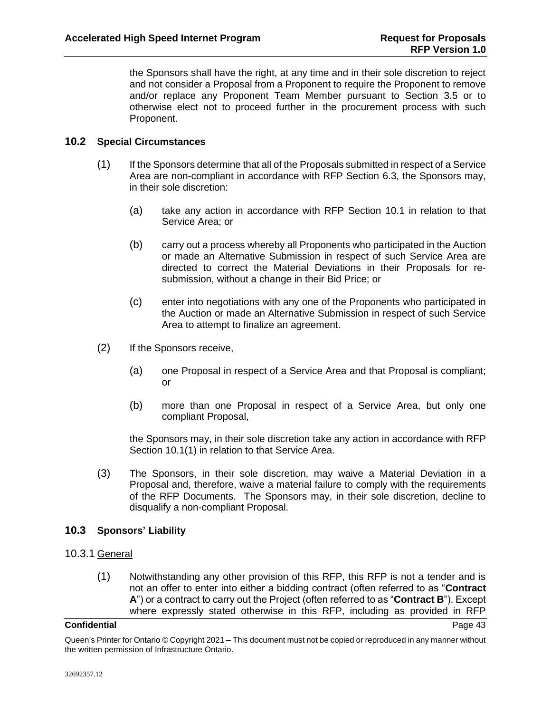the Sponsors shall have the right, at any time and in their sole discretion to reject and not consider a Proposal from a Proponent to require the Proponent to remove and/or replace any Proponent Team Member pursuant to Section [3.5](#page-18-0) or to otherwise elect not to proceed further in the procurement process with such Proponent.

# <span id="page-46-0"></span>**10.2 Special Circumstances**

- (1) If the Sponsors determine that all of the Proposals submitted in respect of a Service Area are non-compliant in accordance with RFP Section [6.3,](#page-36-1) the Sponsors may, in their sole discretion:
	- (a) take any action in accordance with RFP Section [10.1](#page-44-2) in relation to that Service Area; or
	- (b) carry out a process whereby all Proponents who participated in the Auction or made an Alternative Submission in respect of such Service Area are directed to correct the Material Deviations in their Proposals for resubmission, without a change in their Bid Price; or
	- (c) enter into negotiations with any one of the Proponents who participated in the Auction or made an Alternative Submission in respect of such Service Area to attempt to finalize an agreement.
- (2) If the Sponsors receive,
	- (a) one Proposal in respect of a Service Area and that Proposal is compliant; or
	- (b) more than one Proposal in respect of a Service Area, but only one compliant Proposal,

the Sponsors may, in their sole discretion take any action in accordance with RFP Section [10.1\(1\)](#page-44-3) in relation to that Service Area.

<span id="page-46-2"></span>(3) The Sponsors, in their sole discretion, may waive a Material Deviation in a Proposal and, therefore, waive a material failure to comply with the requirements of the RFP Documents. The Sponsors may, in their sole discretion, decline to disqualify a non-compliant Proposal.

# <span id="page-46-1"></span>**10.3 Sponsors' Liability**

# <span id="page-46-3"></span>10.3.1 General

(1) Notwithstanding any other provision of this RFP, this RFP is not a tender and is not an offer to enter into either a bidding contract (often referred to as "**Contract A**") or a contract to carry out the Project (often referred to as "**Contract B**"). Except where expressly stated otherwise in this RFP, including as provided in RFP

Queen's Printer for Ontario © Copyright 2021 – This document must not be copied or reproduced in any manner without the written permission of Infrastructure Ontario.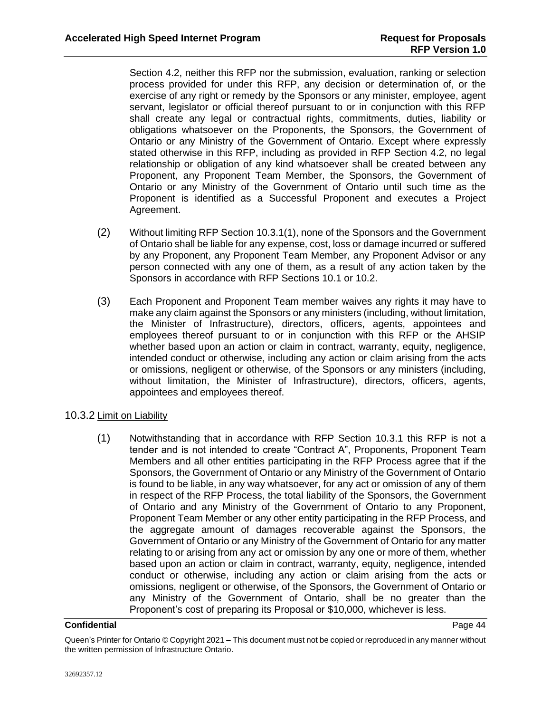Section [4.2,](#page-31-0) neither this RFP nor the submission, evaluation, ranking or selection process provided for under this RFP, any decision or determination of, or the exercise of any right or remedy by the Sponsors or any minister, employee, agent servant, legislator or official thereof pursuant to or in conjunction with this RFP shall create any legal or contractual rights, commitments, duties, liability or obligations whatsoever on the Proponents, the Sponsors, the Government of Ontario or any Ministry of the Government of Ontario. Except where expressly stated otherwise in this RFP, including as provided in RFP Section [4.2,](#page-31-0) no legal relationship or obligation of any kind whatsoever shall be created between any Proponent, any Proponent Team Member, the Sponsors, the Government of Ontario or any Ministry of the Government of Ontario until such time as the Proponent is identified as a Successful Proponent and executes a Project Agreement.

- (2) Without limiting RFP Section [10.3.1\(1\),](#page-46-3) none of the Sponsors and the Government of Ontario shall be liable for any expense, cost, loss or damage incurred or suffered by any Proponent, any Proponent Team Member, any Proponent Advisor or any person connected with any one of them, as a result of any action taken by the Sponsors in accordance with RFP Sections [10.1](#page-44-2) or [10.2.](#page-46-0)
- (3) Each Proponent and Proponent Team member waives any rights it may have to make any claim against the Sponsors or any ministers (including, without limitation, the Minister of Infrastructure), directors, officers, agents, appointees and employees thereof pursuant to or in conjunction with this RFP or the AHSIP whether based upon an action or claim in contract, warranty, equity, negligence, intended conduct or otherwise, including any action or claim arising from the acts or omissions, negligent or otherwise, of the Sponsors or any ministers (including, without limitation, the Minister of Infrastructure), directors, officers, agents, appointees and employees thereof.

# 10.3.2 Limit on Liability

(1) Notwithstanding that in accordance with RFP Section 10.3.1 this RFP is not a tender and is not intended to create "Contract A", Proponents, Proponent Team Members and all other entities participating in the RFP Process agree that if the Sponsors, the Government of Ontario or any Ministry of the Government of Ontario is found to be liable, in any way whatsoever, for any act or omission of any of them in respect of the RFP Process, the total liability of the Sponsors, the Government of Ontario and any Ministry of the Government of Ontario to any Proponent, Proponent Team Member or any other entity participating in the RFP Process, and the aggregate amount of damages recoverable against the Sponsors, the Government of Ontario or any Ministry of the Government of Ontario for any matter relating to or arising from any act or omission by any one or more of them, whether based upon an action or claim in contract, warranty, equity, negligence, intended conduct or otherwise, including any action or claim arising from the acts or omissions, negligent or otherwise, of the Sponsors, the Government of Ontario or any Ministry of the Government of Ontario, shall be no greater than the Proponent's cost of preparing its Proposal or \$10,000, whichever is less.

### **Confidential** Page 44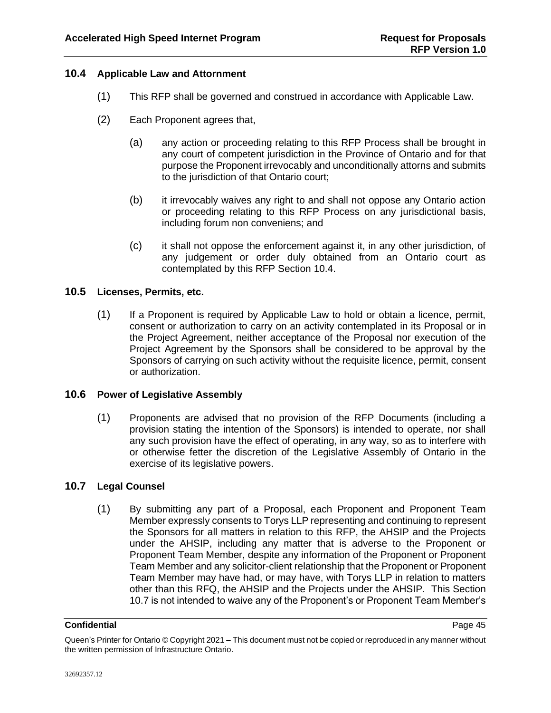# <span id="page-48-0"></span>**10.4 Applicable Law and Attornment**

- (1) This RFP shall be governed and construed in accordance with Applicable Law.
- (2) Each Proponent agrees that,
	- (a) any action or proceeding relating to this RFP Process shall be brought in any court of competent jurisdiction in the Province of Ontario and for that purpose the Proponent irrevocably and unconditionally attorns and submits to the jurisdiction of that Ontario court;
	- (b) it irrevocably waives any right to and shall not oppose any Ontario action or proceeding relating to this RFP Process on any jurisdictional basis, including forum non conveniens; and
	- (c) it shall not oppose the enforcement against it, in any other jurisdiction, of any judgement or order duly obtained from an Ontario court as contemplated by this RFP Section [10.4.](#page-48-0)

# <span id="page-48-1"></span>**10.5 Licenses, Permits, etc.**

(1) If a Proponent is required by Applicable Law to hold or obtain a licence, permit, consent or authorization to carry on an activity contemplated in its Proposal or in the Project Agreement, neither acceptance of the Proposal nor execution of the Project Agreement by the Sponsors shall be considered to be approval by the Sponsors of carrying on such activity without the requisite licence, permit, consent or authorization.

# <span id="page-48-2"></span>**10.6 Power of Legislative Assembly**

(1) Proponents are advised that no provision of the RFP Documents (including a provision stating the intention of the Sponsors) is intended to operate, nor shall any such provision have the effect of operating, in any way, so as to interfere with or otherwise fetter the discretion of the Legislative Assembly of Ontario in the exercise of its legislative powers.

# <span id="page-48-3"></span>**10.7 Legal Counsel**

(1) By submitting any part of a Proposal, each Proponent and Proponent Team Member expressly consents to Torys LLP representing and continuing to represent the Sponsors for all matters in relation to this RFP, the AHSIP and the Projects under the AHSIP, including any matter that is adverse to the Proponent or Proponent Team Member, despite any information of the Proponent or Proponent Team Member and any solicitor-client relationship that the Proponent or Proponent Team Member may have had, or may have, with Torys LLP in relation to matters other than this RFQ, the AHSIP and the Projects under the AHSIP. This Section [10.7](#page-48-3) is not intended to waive any of the Proponent's or Proponent Team Member's

Queen's Printer for Ontario © Copyright 2021 – This document must not be copied or reproduced in any manner without the written permission of Infrastructure Ontario.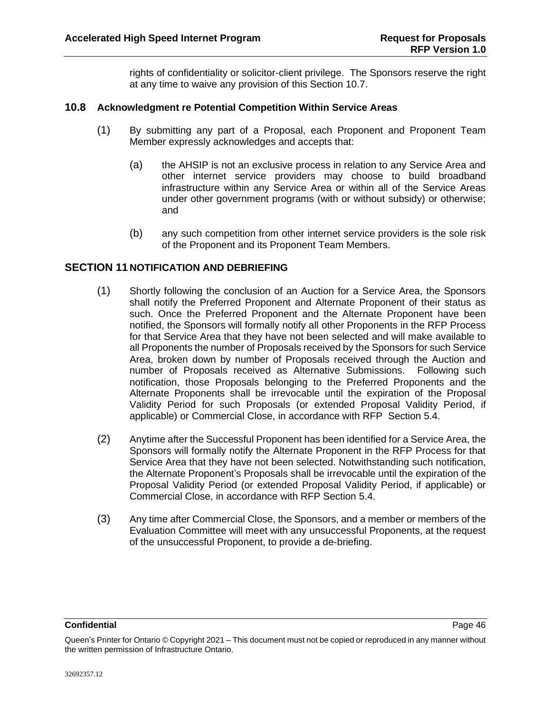rights of confidentiality or solicitor-client privilege. The Sponsors reserve the right at any time to waive any provision of this Section [10.7.](#page-48-3)

### <span id="page-49-0"></span>**10.8 Acknowledgment re Potential Competition Within Service Areas**

- (1) By submitting any part of a Proposal, each Proponent and Proponent Team Member expressly acknowledges and accepts that:
	- (a) the AHSIP is not an exclusive process in relation to any Service Area and other internet service providers may choose to build broadband infrastructure within any Service Area or within all of the Service Areas under other government programs (with or without subsidy) or otherwise; and
	- (b) any such competition from other internet service providers is the sole risk of the Proponent and its Proponent Team Members.

# <span id="page-49-1"></span>**SECTION 11 NOTIFICATION AND DEBRIEFING**

- (1) Shortly following the conclusion of an Auction for a Service Area, the Sponsors shall notify the Preferred Proponent and Alternate Proponent of their status as such. Once the Preferred Proponent and the Alternate Proponent have been notified, the Sponsors will formally notify all other Proponents in the RFP Process for that Service Area that they have not been selected and will make available to all Proponents the number of Proposals received by the Sponsors for such Service Area, broken down by number of Proposals received through the Auction and number of Proposals received as Alternative Submissions. Following such notification, those Proposals belonging to the Preferred Proponents and the Alternate Proponents shall be irrevocable until the expiration of the Proposal Validity Period for such Proposals (or extended Proposal Validity Period, if applicable) or Commercial Close, in accordance with RFP Section [5.4.](#page-34-2)
- (2) Anytime after the Successful Proponent has been identified for a Service Area, the Sponsors will formally notify the Alternate Proponent in the RFP Process for that Service Area that they have not been selected. Notwithstanding such notification, the Alternate Proponent's Proposals shall be irrevocable until the expiration of the Proposal Validity Period (or extended Proposal Validity Period, if applicable) or Commercial Close, in accordance with RFP Section [5.4.](#page-34-2)
- (3) Any time after Commercial Close, the Sponsors, and a member or members of the Evaluation Committee will meet with any unsuccessful Proponents, at the request of the unsuccessful Proponent, to provide a de-briefing.

Queen's Printer for Ontario © Copyright 2021 – This document must not be copied or reproduced in any manner without the written permission of Infrastructure Ontario.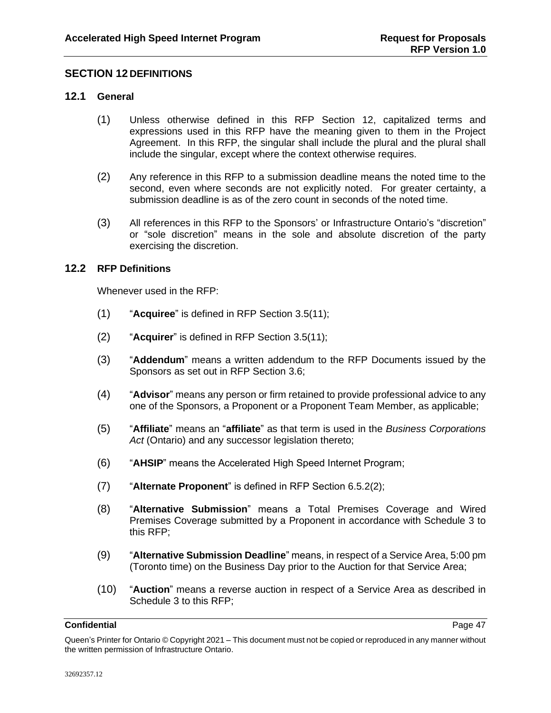# <span id="page-50-0"></span>**SECTION 12 DEFINITIONS**

## <span id="page-50-1"></span>**12.1 General**

- (1) Unless otherwise defined in this RFP [Section 12,](#page-50-0) capitalized terms and expressions used in this RFP have the meaning given to them in the Project Agreement. In this RFP, the singular shall include the plural and the plural shall include the singular, except where the context otherwise requires.
- (2) Any reference in this RFP to a submission deadline means the noted time to the second, even where seconds are not explicitly noted. For greater certainty, a submission deadline is as of the zero count in seconds of the noted time.
- (3) All references in this RFP to the Sponsors' or Infrastructure Ontario's "discretion" or "sole discretion" means in the sole and absolute discretion of the party exercising the discretion.

### <span id="page-50-2"></span>**12.2 RFP Definitions**

Whenever used in the RFP:

- (1) "**Acquiree**" is defined in RFP Section [3.5\(11\);](#page-21-1)
- (2) "**Acquirer**" is defined in RFP Section [3.5\(11\);](#page-21-1)
- (3) "**Addendum**" means a written addendum to the RFP Documents issued by the Sponsors as set out in RFP Section [3.6;](#page-21-0)
- (4) "**Advisor**" means any person or firm retained to provide professional advice to any one of the Sponsors, a Proponent or a Proponent Team Member, as applicable;
- (5) "**Affiliate**" means an "**affiliate**" as that term is used in the *Business Corporations Act* (Ontario) and any successor legislation thereto;
- (6) "**AHSIP**" means the Accelerated High Speed Internet Program;
- (7) "**Alternate Proponent**" is defined in RFP Section [6.5.2\(2\);](#page-39-3)
- (8) "**Alternative Submission**" means a Total Premises Coverage and Wired Premises Coverage submitted by a Proponent in accordance with Schedule 3 to this RFP;
- (9) "**Alternative Submission Deadline**" means, in respect of a Service Area, 5:00 pm (Toronto time) on the Business Day prior to the Auction for that Service Area;
- (10) "**Auction**" means a reverse auction in respect of a Service Area as described in Schedule 3 to this RFP;

Queen's Printer for Ontario © Copyright 2021 – This document must not be copied or reproduced in any manner without the written permission of Infrastructure Ontario.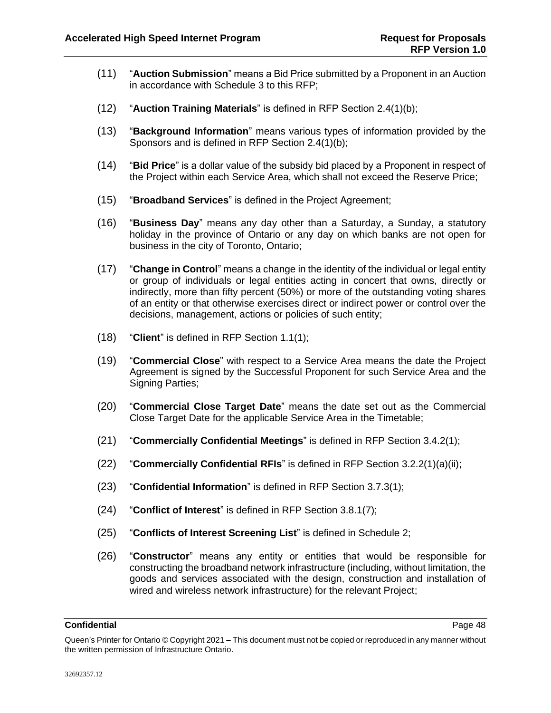- (11) "**Auction Submission**" means a Bid Price submitted by a Proponent in an Auction in accordance with Schedule 3 to this RFP;
- (12) "**Auction Training Materials**" is defined in RFP Section [2.4\(1\)\(b\);](#page-9-4)
- (13) "**Background Information**" means various types of information provided by the Sponsors and is defined in RFP Section [2.4\(1\)\(b\);](#page-9-4)
- (14) "**Bid Price**" is a dollar value of the subsidy bid placed by a Proponent in respect of the Project within each Service Area, which shall not exceed the Reserve Price;
- (15) "**Broadband Services**" is defined in the Project Agreement;
- (16) "**Business Day**" means any day other than a Saturday, a Sunday, a statutory holiday in the province of Ontario or any day on which banks are not open for business in the city of Toronto, Ontario;
- (17) "**Change in Control**" means a change in the identity of the individual or legal entity or group of individuals or legal entities acting in concert that owns, directly or indirectly, more than fifty percent (50%) or more of the outstanding voting shares of an entity or that otherwise exercises direct or indirect power or control over the decisions, management, actions or policies of such entity;
- (18) "**Client**" is defined in RFP Section [1.1\(1\);](#page-4-2)
- (19) "**Commercial Close**" with respect to a Service Area means the date the Project Agreement is signed by the Successful Proponent for such Service Area and the Signing Parties;
- (20) "**Commercial Close Target Date**" means the date set out as the Commercial Close Target Date for the applicable Service Area in the Timetable;
- (21) "**Commercially Confidential Meetings**" is defined in RFP Section [3.4.2\(1\);](#page-17-1)
- (22) "**Commercially Confidential RFIs**" is defined in RFP Section [3.2.2\(1\)\(a\)\(ii\);](#page-12-1)
- (23) "**Confidential Information**" is defined in RFP Section [3.7.3\(1\);](#page-22-2)
- (24) "**Conflict of Interest**" is defined in RFP Section [3.8.1\(7\);](#page-26-4)
- (25) "**Conflicts of Interest Screening List**" is defined in Schedule 2;
- (26) "**Constructor**" means any entity or entities that would be responsible for constructing the broadband network infrastructure (including, without limitation, the goods and services associated with the design, construction and installation of wired and wireless network infrastructure) for the relevant Project;

Queen's Printer for Ontario © Copyright 2021 – This document must not be copied or reproduced in any manner without the written permission of Infrastructure Ontario.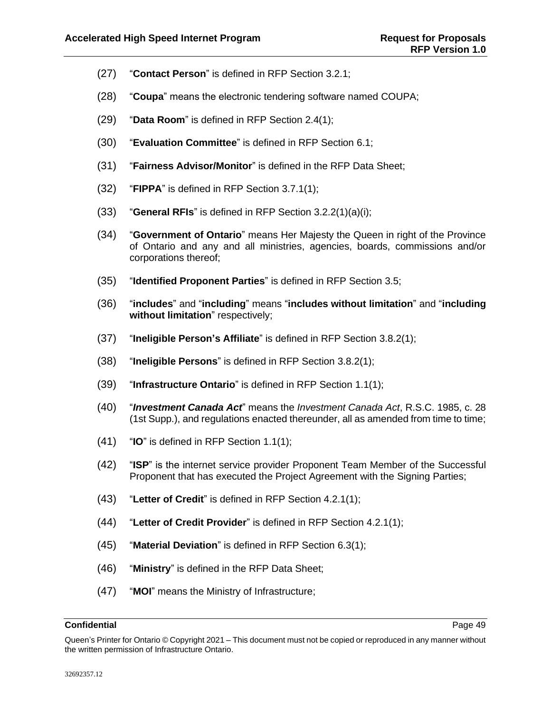- (27) "**Contact Person**" is defined in RFP Section [3.2.1;](#page-11-3)
- (28) "**Coupa**" means the electronic tendering software named COUPA;
- (29) "**Data Room**" is defined in RFP Section [2.4\(1\);](#page-9-5)
- (30) "**Evaluation Committee**" is defined in RFP Section [6.1;](#page-35-2)
- (31) "**Fairness Advisor/Monitor**" is defined in the RFP Data Sheet;
- (32) "**FIPPA**" is defined in RFP Section [3.7.1\(1\);](#page-22-3)
- (33) "**General RFIs**" is defined in RFP Section [3.2.2\(1\)\(a\)\(i\);](#page-12-2)
- (34) "**Government of Ontario**" means Her Majesty the Queen in right of the Province of Ontario and any and all ministries, agencies, boards, commissions and/or corporations thereof;
- (35) "**Identified Proponent Parties**" is defined in RFP Section [3.5;](#page-18-1)
- (36) "**includes**" and "**including**" means "**includes without limitation**" and "**including without limitation**" respectively;
- (37) "**Ineligible Person's Affiliate**" is defined in RFP Section [3.8.2\(1\);](#page-27-0)
- (38) "**Ineligible Persons**" is defined in RFP Section [3.8.2\(1\);](#page-27-0)
- (39) "**Infrastructure Ontario**" is defined in RFP Section [1.1\(1\);](#page-4-2)
- (40) "*Investment Canada Act*" means the *Investment Canada Act*, R.S.C. 1985, c. 28 (1st Supp.), and regulations enacted thereunder, all as amended from time to time;
- (41) "**IO**" is defined in RFP Section [1.1\(1\);](#page-4-2)
- (42) "**ISP**" is the internet service provider Proponent Team Member of the Successful Proponent that has executed the Project Agreement with the Signing Parties;
- (43) "**Letter of Credit**" is defined in RFP Section [4.2.1\(1\);](#page-31-2)
- (44) "**Letter of Credit Provider**" is defined in RFP Section [4.2.1\(1\);](#page-31-2)
- (45) "**Material Deviation**" is defined in RFP Section [6.3\(1\);](#page-36-2)
- (46) "**Ministry**" is defined in the RFP Data Sheet;
- (47) "**MOI**" means the Ministry of Infrastructure;

Queen's Printer for Ontario © Copyright 2021 – This document must not be copied or reproduced in any manner without the written permission of Infrastructure Ontario.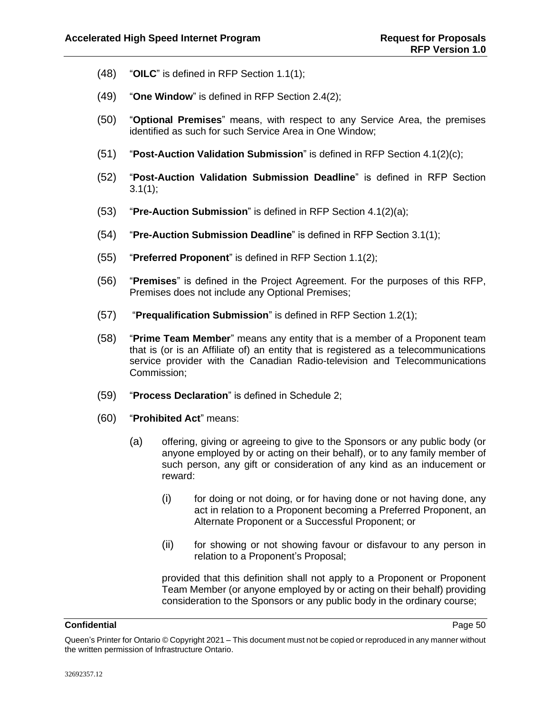- (48) "**OILC**" is defined in RFP Section [1.1\(1\);](#page-4-2)
- (49) "**One Window**" is defined in RFP Section [2.4\(2\);](#page-10-2)
- (50) "**Optional Premises**" means, with respect to any Service Area, the premises identified as such for such Service Area in One Window;
- (51) "**Post-Auction Validation Submission**" is defined in RFP Section [4.1\(2\)\(c\);](#page-30-0)
- (52) "**Post-Auction Validation Submission Deadline**" is defined in RFP Section  $3.1(1);$
- (53) "**Pre-Auction Submission**" is defined in RFP Section [4.1\(2\)\(a\);](#page-30-1)
- (54) "**Pre-Auction Submission Deadline**" is defined in RFP Section [3.1\(1\);](#page-11-4)
- (55) "**Preferred Proponent**" is defined in RFP Section [1.1\(2\);](#page-4-3)
- (56) "**Premises**" is defined in the Project Agreement. For the purposes of this RFP, Premises does not include any Optional Premises;
- (57) "**Prequalification Submission**" is defined in RFP Section [1.2\(1\);](#page-5-2)
- (58) "**Prime Team Member**" means any entity that is a member of a Proponent team that is (or is an Affiliate of) an entity that is registered as a telecommunications service provider with the Canadian Radio-television and Telecommunications Commission;
- (59) "**Process Declaration**" is defined in Schedule 2;
- (60) "**Prohibited Act**" means:
	- (a) offering, giving or agreeing to give to the Sponsors or any public body (or anyone employed by or acting on their behalf), or to any family member of such person, any gift or consideration of any kind as an inducement or reward:
		- (i) for doing or not doing, or for having done or not having done, any act in relation to a Proponent becoming a Preferred Proponent, an Alternate Proponent or a Successful Proponent; or
		- (ii) for showing or not showing favour or disfavour to any person in relation to a Proponent's Proposal;

provided that this definition shall not apply to a Proponent or Proponent Team Member (or anyone employed by or acting on their behalf) providing consideration to the Sponsors or any public body in the ordinary course;

Queen's Printer for Ontario © Copyright 2021 – This document must not be copied or reproduced in any manner without the written permission of Infrastructure Ontario.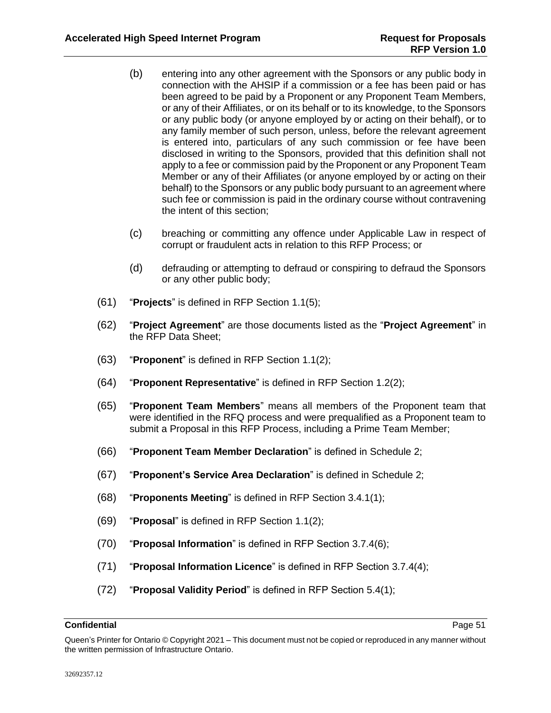- (b) entering into any other agreement with the Sponsors or any public body in connection with the AHSIP if a commission or a fee has been paid or has been agreed to be paid by a Proponent or any Proponent Team Members, or any of their Affiliates, or on its behalf or to its knowledge, to the Sponsors or any public body (or anyone employed by or acting on their behalf), or to any family member of such person, unless, before the relevant agreement is entered into, particulars of any such commission or fee have been disclosed in writing to the Sponsors, provided that this definition shall not apply to a fee or commission paid by the Proponent or any Proponent Team Member or any of their Affiliates (or anyone employed by or acting on their behalf) to the Sponsors or any public body pursuant to an agreement where such fee or commission is paid in the ordinary course without contravening the intent of this section;
- (c) breaching or committing any offence under Applicable Law in respect of corrupt or fraudulent acts in relation to this RFP Process; or
- (d) defrauding or attempting to defraud or conspiring to defraud the Sponsors or any other public body;
- (61) "**Projects**" is defined in RFP Section [1.1\(5\);](#page-4-4)
- (62) "**Project Agreement**" are those documents listed as the "**Project Agreement**" in the RFP Data Sheet;
- (63) "**Proponent**" is defined in RFP Section [1.1\(2\);](#page-4-3)
- (64) "**Proponent Representative**" is defined in RFP Section [1.2\(2\);](#page-5-3)
- (65) "**Proponent Team Members**" means all members of the Proponent team that were identified in the RFQ process and were prequalified as a Proponent team to submit a Proposal in this RFP Process, including a Prime Team Member;
- (66) "**Proponent Team Member Declaration**" is defined in Schedule 2;
- (67) "**Proponent's Service Area Declaration**" is defined in Schedule 2;
- (68) "**Proponents Meeting**" is defined in RFP Section [3.4.1\(1\);](#page-16-5)
- (69) "**Proposal**" is defined in RFP Section [1.1\(2\);](#page-4-3)
- (70) "**Proposal Information**" is defined in RFP Section [3.7.4\(6\);](#page-25-0)
- (71) "**Proposal Information Licence**" is defined in RFP Section [3.7.4\(4\);](#page-25-1)
- (72) "**Proposal Validity Period**" is defined in RFP Section [5.4\(1\);](#page-34-3)

Queen's Printer for Ontario © Copyright 2021 – This document must not be copied or reproduced in any manner without the written permission of Infrastructure Ontario.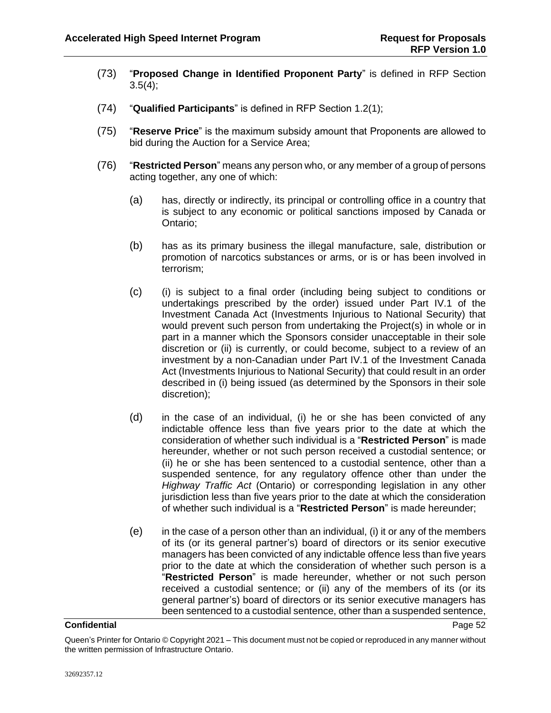- (73) "**Proposed Change in Identified Proponent Party**" is defined in RFP Section  $3.5(4)$ ;
- (74) "**Qualified Participants**" is defined in RFP Section [1.2\(1\);](#page-5-2)
- (75) "**Reserve Price**" is the maximum subsidy amount that Proponents are allowed to bid during the Auction for a Service Area;
- (76) "**Restricted Person**" means any person who, or any member of a group of persons acting together, any one of which:
	- (a) has, directly or indirectly, its principal or controlling office in a country that is subject to any economic or political sanctions imposed by Canada or Ontario;
	- (b) has as its primary business the illegal manufacture, sale, distribution or promotion of narcotics substances or arms, or is or has been involved in terrorism;
	- (c) (i) is subject to a final order (including being subject to conditions or undertakings prescribed by the order) issued under Part IV.1 of the Investment Canada Act (Investments Injurious to National Security) that would prevent such person from undertaking the Project(s) in whole or in part in a manner which the Sponsors consider unacceptable in their sole discretion or (ii) is currently, or could become, subject to a review of an investment by a non-Canadian under Part IV.1 of the Investment Canada Act (Investments Injurious to National Security) that could result in an order described in (i) being issued (as determined by the Sponsors in their sole discretion);
	- (d) in the case of an individual, (i) he or she has been convicted of any indictable offence less than five years prior to the date at which the consideration of whether such individual is a "**Restricted Person**" is made hereunder, whether or not such person received a custodial sentence; or (ii) he or she has been sentenced to a custodial sentence, other than a suspended sentence, for any regulatory offence other than under the *Highway Traffic Act* (Ontario) or corresponding legislation in any other jurisdiction less than five years prior to the date at which the consideration of whether such individual is a "**Restricted Person**" is made hereunder;
	- (e) in the case of a person other than an individual, (i) it or any of the members of its (or its general partner's) board of directors or its senior executive managers has been convicted of any indictable offence less than five years prior to the date at which the consideration of whether such person is a "**Restricted Person**" is made hereunder, whether or not such person received a custodial sentence; or (ii) any of the members of its (or its general partner's) board of directors or its senior executive managers has been sentenced to a custodial sentence, other than a suspended sentence,

Queen's Printer for Ontario © Copyright 2021 – This document must not be copied or reproduced in any manner without the written permission of Infrastructure Ontario.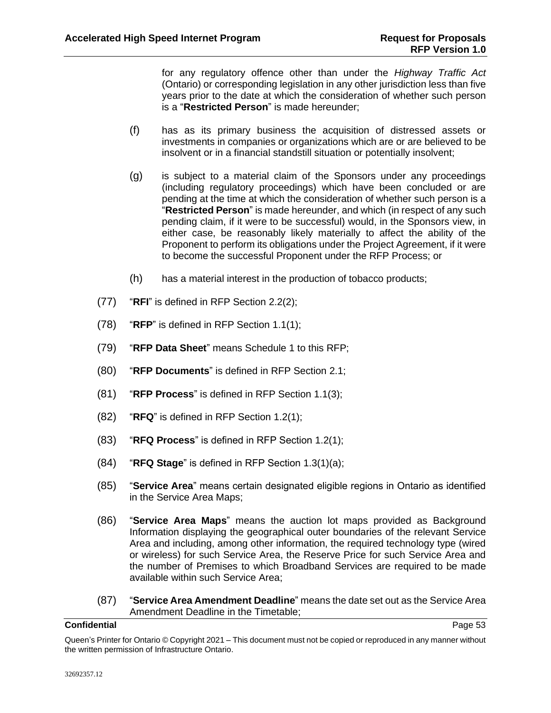for any regulatory offence other than under the *Highway Traffic Act* (Ontario) or corresponding legislation in any other jurisdiction less than five years prior to the date at which the consideration of whether such person is a "**Restricted Person**" is made hereunder;

- (f) has as its primary business the acquisition of distressed assets or investments in companies or organizations which are or are believed to be insolvent or in a financial standstill situation or potentially insolvent;
- (g) is subject to a material claim of the Sponsors under any proceedings (including regulatory proceedings) which have been concluded or are pending at the time at which the consideration of whether such person is a "**Restricted Person**" is made hereunder, and which (in respect of any such pending claim, if it were to be successful) would, in the Sponsors view, in either case, be reasonably likely materially to affect the ability of the Proponent to perform its obligations under the Project Agreement, if it were to become the successful Proponent under the RFP Process; or
- (h) has a material interest in the production of tobacco products;
- (77) "**RFI**" is defined in RFP Section [2.2\(2\);](#page-8-2)
- (78) "**RFP**" is defined in RFP Section [1.1\(1\);](#page-4-2)
- (79) "**RFP Data Sheet**" means Schedule 1 to this RFP;
- (80) "**RFP Documents**" is defined in RFP Section [2.1;](#page-6-2)
- (81) "**RFP Process**" is defined in RFP Section [1.1\(3\);](#page-4-5)
- (82) "**RFQ**" is defined in RFP Section [1.2\(1\);](#page-5-2)
- (83) "**RFQ Process**" is defined in RFP Section [1.2\(1\);](#page-5-2)
- (84) "**RFQ Stage**" is defined in RFP Section [1.3\(1\)\(a\);](#page-5-4)
- (85) "**Service Area**" means certain designated eligible regions in Ontario as identified in the Service Area Maps;
- (86) "**Service Area Maps**" means the auction lot maps provided as Background Information displaying the geographical outer boundaries of the relevant Service Area and including, among other information, the required technology type (wired or wireless) for such Service Area, the Reserve Price for such Service Area and the number of Premises to which Broadband Services are required to be made available within such Service Area;
- (87) "**Service Area Amendment Deadline**" means the date set out as the Service Area Amendment Deadline in the Timetable;

Queen's Printer for Ontario © Copyright 2021 – This document must not be copied or reproduced in any manner without the written permission of Infrastructure Ontario.